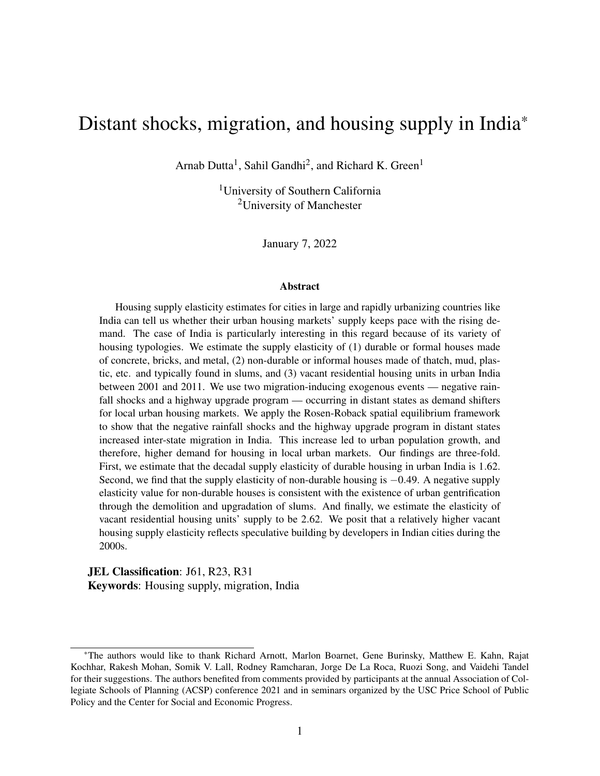# <span id="page-0-0"></span>Distant shocks, migration, and housing supply in India\*

Arnab Dutta<sup>1</sup>, Sahil Gandhi<sup>2</sup>, and Richard K. Green<sup>1</sup>

<sup>1</sup>University of Southern California <sup>2</sup>University of Manchester

January 7, 2022

#### Abstract

Housing supply elasticity estimates for cities in large and rapidly urbanizing countries like India can tell us whether their urban housing markets' supply keeps pace with the rising demand. The case of India is particularly interesting in this regard because of its variety of housing typologies. We estimate the supply elasticity of (1) durable or formal houses made of concrete, bricks, and metal, (2) non-durable or informal houses made of thatch, mud, plastic, etc. and typically found in slums, and (3) vacant residential housing units in urban India between 2001 and 2011. We use two migration-inducing exogenous events — negative rainfall shocks and a highway upgrade program — occurring in distant states as demand shifters for local urban housing markets. We apply the Rosen-Roback spatial equilibrium framework to show that the negative rainfall shocks and the highway upgrade program in distant states increased inter-state migration in India. This increase led to urban population growth, and therefore, higher demand for housing in local urban markets. Our findings are three-fold. First, we estimate that the decadal supply elasticity of durable housing in urban India is 1.62. Second, we find that the supply elasticity of non-durable housing is −0.49. A negative supply elasticity value for non-durable houses is consistent with the existence of urban gentrification through the demolition and upgradation of slums. And finally, we estimate the elasticity of vacant residential housing units' supply to be 2.62. We posit that a relatively higher vacant housing supply elasticity reflects speculative building by developers in Indian cities during the 2000s.

JEL Classification: J61, R23, R31 Keywords: Housing supply, migration, India

<sup>\*</sup>The authors would like to thank Richard Arnott, Marlon Boarnet, Gene Burinsky, Matthew E. Kahn, Rajat Kochhar, Rakesh Mohan, Somik V. Lall, Rodney Ramcharan, Jorge De La Roca, Ruozi Song, and Vaidehi Tandel for their suggestions. The authors benefited from comments provided by participants at the annual Association of Collegiate Schools of Planning (ACSP) conference 2021 and in seminars organized by the USC Price School of Public Policy and the Center for Social and Economic Progress.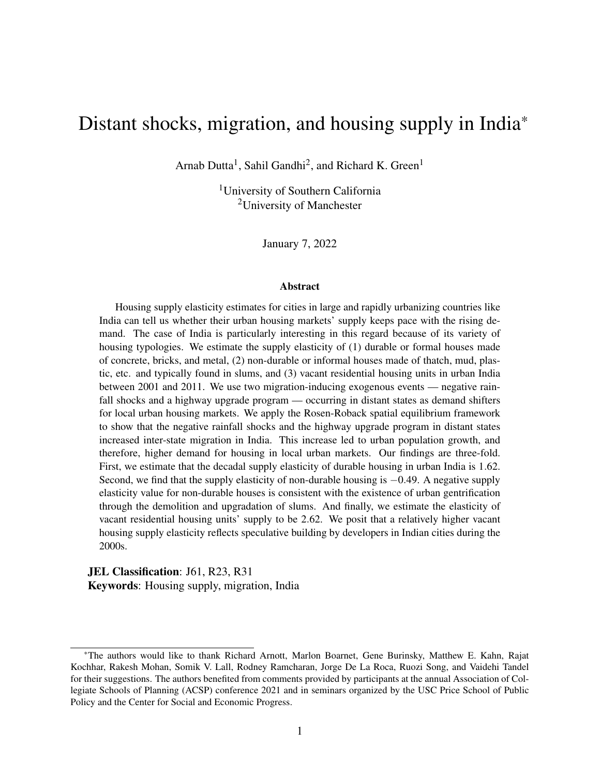# 1 Introduction

Indian cities were home to 377 million people or roughly 10.4% of the global urban population in 2011 [\(Census of India,](#page-45-0) [2011;](#page-45-0) Desa *[et al.](#page-45-1)*, [2014\)](#page-45-1). Data from the [Census of India](#page-45-0) indicates that India's urban population grew by roughly 91 million or 32% between 2001 and 2011. Although prior academic literature indicates that internal migration to Indian cities has been historically low [\(Bhavnani and Lacina,](#page-44-0) [2017;](#page-44-0) [Kone](#page-46-0) *et al.*, [2018;](#page-46-0) [Munshi and Rosenzweig,](#page-47-0) [2016\)](#page-47-0), this seems to be changing as the number of internal migrants living in urban India went up by 71% between the 1990s and the 2000s (see figure [1\)](#page-2-0).<sup>[1](#page-0-0)</sup> Therefore, India is urbanizing, and its urbanization is increasingly accompanied by migration to urban areas. Empirical evidence from other countries like the United States suggests that urbanization and migration are likely to contribute to a surge in housing demand in cities [\(Molloy](#page-47-1) *et al.*, [2011\)](#page-47-1). But is the market supply of housing in urban Indian enough to meet the rising demand?

Figure [2](#page-3-0) indicates that the number of houses grew faster than the urban population in India during the 2000s. The total number of residential housing units in urban India grew by 50% from 52 million in 2001 to 78 million in 2011. As with any developing country, a large share of India's housing stock consists of informal houses. In the absence of data on informal houses, we identify proxies for formal and informal houses based on the type of material used to construct the roofs and walls of houses. We use *durable* houses made of concrete, bricks, metal, and stone as a proxy for formal houses and *non-durable* houses made of thatch, mud, unburnt bricks, plastic, etc. as a proxy for informal houses.<sup>[2](#page-3-0)</sup> Non-durable houses are typically found in slums.<sup>[3](#page-0-0)</sup> Figure 2 indicates that about 15% of the housing stock in urban India in 2011 consisted of non-durable houses. However, the growth in residential housing by type was uneven. While the number of durable residential units grew by 61% between 2001 and 2011, the number of non-durable units increased by 9%

<sup>&</sup>lt;sup>1</sup> Recent studies have found that the Information Technology (IT) boom of the late 1990s and the early 2000s partly explains this growth in the internal movement of Indians [\(Ghose,](#page-45-2) [2019\)](#page-45-2).

<sup>&</sup>lt;sup>2</sup>Our definition of durable and non-durable housing is based on the [Census of India'](#page-45-0)s definition of permanent and temporary houses, respectively.

 $3$ Hereon, we use the terms informal housing, slums, and non-durable houses interchangeably.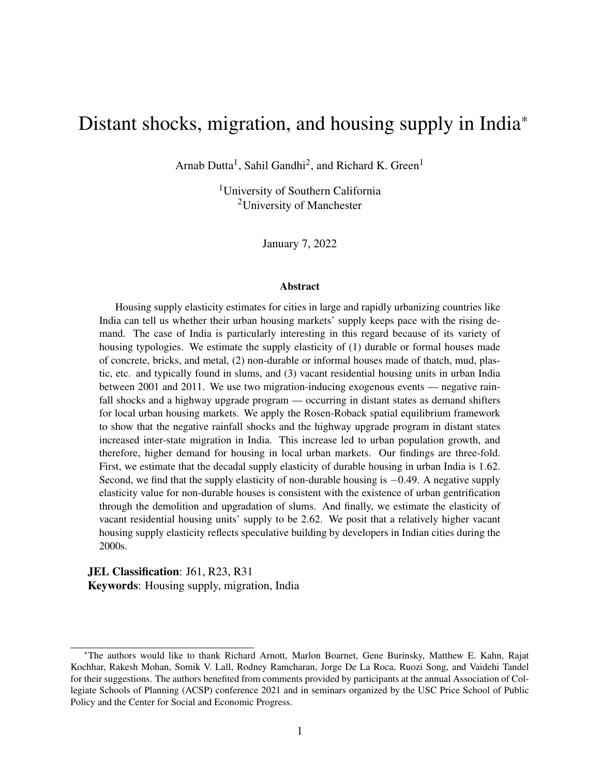<span id="page-2-0"></span>

Figure 1: Decadal growth in migration to Indian cities by last residence

*Source*: Author's calculations based on the [Census of India.](#page-45-0)

*Note*: Figure presents the percentage growth rate in migration to urban areas between 1991-2000 and 2001-2010 by migrants' last residence (same or different state). All bars are labeled by the corresponding values being represented.

during the same time.<sup>[4](#page-0-0)</sup> The number of vacant houses also grew by about  $83\%$  suggesting that there was a lot of speculative building in Indian cities during the 2000s [\(Gandhi](#page-45-3) *et al.*, [2021a\)](#page-45-3). The question is whether the increase in residential housing in urban India between 2001 and 2011 was at par with the increase in prices. In other words, what was the housing supply elasticity in urban India during the 2000s?

In this paper, we estimate the supply elasticity of durable, non-durable, and vacant residential housing units in urban India between 2001 and  $2011<sup>5</sup>$  $2011<sup>5</sup>$  $2011<sup>5</sup>$  We use two migration-inducing exogenous

<sup>&</sup>lt;sup>4</sup>Note that, as a result of the uneven growth, the share of non-durable housing units in the overall housing stock fell from 21% in 2001 to 15% in 2011.

<sup>&</sup>lt;sup>5</sup>We employ first difference regressions throughout the paper to explain the changes in our outcome variables as a function of changes in covariates between 2001 and 2011. See section [5](#page-21-0) for details.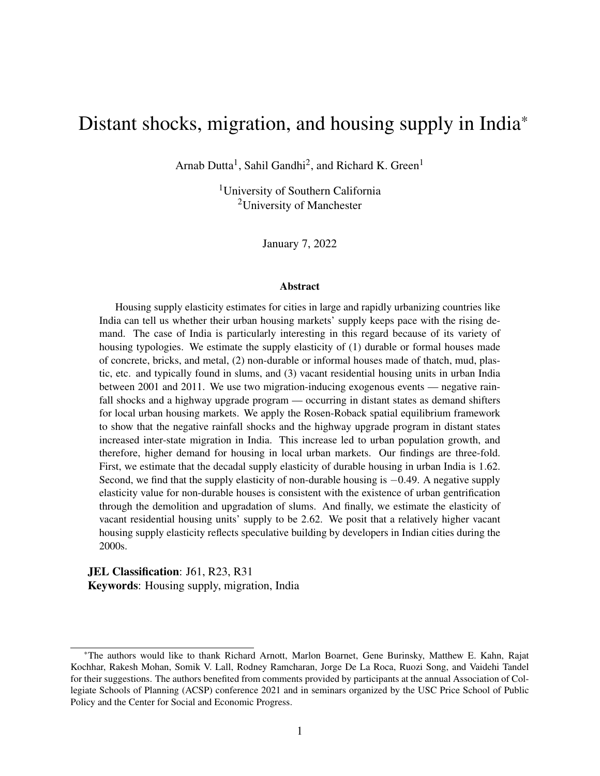

<span id="page-3-0"></span>

*Source*: Author's calculations based on the [Census of India.](#page-45-0)

*Note*: Figure presents the number of housing units (in millions) by type. Durable units' roofs and walls made of galvanized iron, metal, asbestos sheets, burnt bricks, stone, and concrete. Non-durable units' roofs or walls made of grass, thatch, bamboo, plastic, polythene, mud, unburnt brick, and wood. All vacant houses are durable units. All bars are labeled by the corresponding values being represented.

events — negative rainfall shocks and a highway upgrade program — occurring in distant states as demand shifters for local urban housing markets. We apply the Rosen-Roback spatial equi-librium framework [\(Roback,](#page-48-0) [1982;](#page-48-0) [Rosen,](#page-48-1) [1979\)](#page-48-1) to show that both the negative rainfall shocks and the highway upgrade program in distant states increased inter-state migration in India during the 2000s. The increased inter-state migration led to changes in urban population, and therefore, higher demand for housing in local urban markets.

We illustrate the spatial equilibrium mechanism in figure [3](#page-4-0) with the example of two Indian states — Maharashtra and Bihar. Let's say that we want to estimate the housing supply elasticity in urban areas of Maharashtra. We define Maharashtra as the *local* state. Now, consider the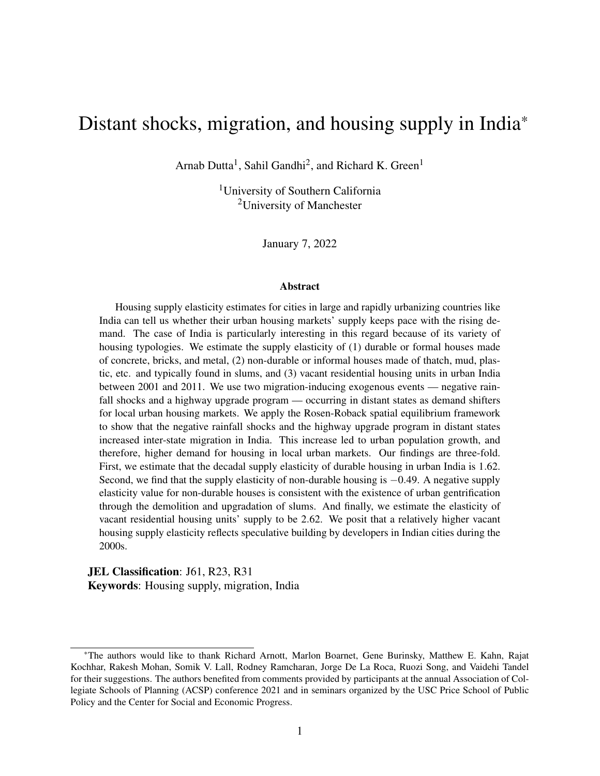state of Bihar, where there are negative rainfall shocks and a highway upgrade program. In our definition, Bihar is a *distant* state. The negative rainfall shocks and the highway upgrade program will affect wages and rents in Bihar, thereby causing a state of spatial disequilibrium. The spatial disequilibrium will spur migration between Bihar and Maharashtra, affecting the urban population in Maharashtra. The change in urban population will affect Maharashtra's housing demand. Thus, the negative rainfall shocks and the highway upgrade program in the *distant* state of Bihar will act as demand shifters for urban housing markets in the *local* state of Maharashtra. We show that the distant state shocks act as demand shifters for all types of residential housing — namely durable, non-durable, and vacant — in local urban markets. In section [4,](#page-14-0) we present a spatial equilibrium model to discuss these mechanisms.

<span id="page-4-0"></span>

Figure 3: Shock-induced migration's impact on housing demand

*Source*: Authors' own.

*Note*: Map presents a snapshot of the central part of India with the *local* state of Maharashtra and the *distant* state of Bihar highlighted. Negative rainfall shocks and highway upgradation occurs in Bihar. The resulting inter-state migration affects housing demand in Maharashtra.

Our empirical analysis indicates that the negative rainfall shocks and the highway upgrade program increased inter-state migration. On the one hand, an additional month of rainfall levels less than 80% of the long-term normal during a decade increased decadal migration from affected regions by 1.1% points. On the other hand, a distant state's inclusion in the Golden Quadrilateral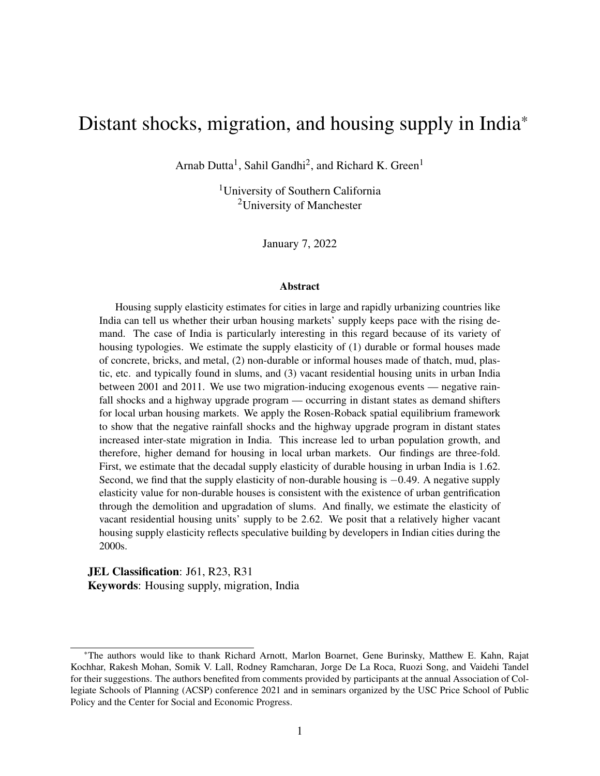$(GQ)$  highway upgrade program increased migration both to and from such states.<sup>[6](#page-0-0)</sup> This increased inter-state mobility led to urbanization in the local state which in turn increased the demand for housing in local urban housing markets. The demand for durable housing units increased relatively more than the demand for non-durable units in response to the distant shock-induced urbanization. We show that both the negative rainfall shocks and the GQ highway upgrade program are strong instruments for the number of durable, non-durable, and vacant houses in local urban markets.

Our housing supply elasticity estimates can be summarized in three points. First, we estimate that the decadal supply elasticity of durable housing in urban India is 1.62. This estimate is very close to the supply elasticity of 1.75 obtained by [Saiz](#page-48-2) [\(2010\)](#page-48-2) for the average metropolitan area in the United States. Second, we find that the supply elasticity of non-durable housing is −0.49. The negative supply elasticity of non-durable housing is counterintuitive, suggesting that as nondurable housing rents increase, the supply of non-durable residential housing units decreases. This is consistent with urban gentrification that occurs in two ways in Indian cities. First, a simultaneous increase in rents paid by slum dwellers and land values around slums attract real estate developers. Slums are cleared to construct durable residential and commercial real estate space [\(Bhan,](#page-44-1) [2009\)](#page-44-1). And second, slums are upgraded through various government and non-government programs that convert non-durable units to durable ones [\(Rains and Krishna,](#page-48-3) [2020;](#page-48-3) [Rains](#page-48-4) *et al.*, [2019\)](#page-48-4). Finally, we estimate the elasticity of vacant residential housing units' supply in urban India to be 2.62, which is larger than the elasticity of durable housing units' supply. We posit that developers were engaged in speculative building with the expectation of higher demand as market rents went up during the 2000s [\(Gandhi](#page-45-3) *et al.*, [2021a\)](#page-45-3).

Our contributions to the literature are three-fold. First, we exploit the Rosen-Roback framework to construct novel housing demand shifters. It is hard to find instruments that satisfy all the exclusion restrictions. Prior research has used migration shocks such as international immigration [\(Saiz,](#page-48-2) [2010\)](#page-48-2) and imputed migration based on historic flows [\(Paciorek,](#page-47-2) [2013\)](#page-47-2) as housing demand

<sup>&</sup>lt;sup>6</sup>The Golden Quadrilateral (GQ) or the National Highways Development Project Phase I (NHDP I) was introduced as a highway upgrade program by the Central government of India in 2000, and it came into effect in 2001. Its primary goal was to upgrade preexisting highways connecting the four largest metropolitan areas of India — Delhi, Mumbai, Kolkata, and Chennai — from two lanes to four lanes. See section [5.4](#page-26-0) for details.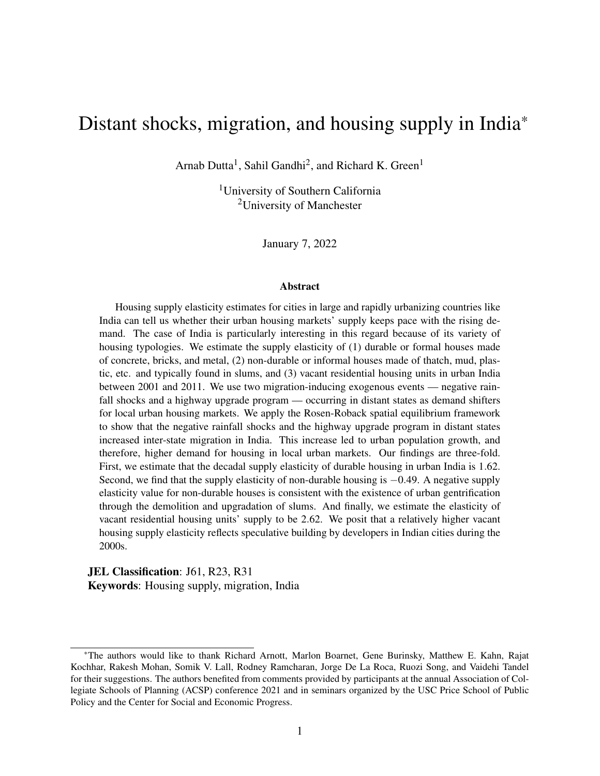shifters. Some papers have also used labor demand shocks in the form of shift-share instruments as housing demand shifters [\(Baum-Snow and Han,](#page-44-2) [2019;](#page-44-2) [Paciorek,](#page-47-2) [2013;](#page-47-2) [Saiz,](#page-48-2) [2010\)](#page-48-2). The problem with using such migration shocks as housing demand shifters is that the migration decisions are endogenous to potential migrant destinations' housing market outcomes such as prices and rents [\(Zabel,](#page-49-0) [2012\)](#page-49-0). The strength of our instruments is three-fold. First, we use *migration-inducing* shocks as demand shifters instead of migration itself. Second, by separating the regions where shocks occur and the regions where we estimate the housing supply elasticities, we reduce the pathways through which omitted variable bias can occur as a result of correlation between the shocks and the unobservables affecting the housing supply. The spatial equilibrium framework provides the theoretical basis for identifying the indirect impact of such *distant* events on local housing market outcomes, with migration being the channel of the impact. This idea is resonated in [Boustan](#page-44-3) [\(2010\)](#page-44-3) who studied the impact of the Black migration during the post-war period on suburbanization in US cities. And finally, we use rainfall shocks that are plausibly exogenous even in the region of direct impact. We argue that if a shock is somewhat exogenous in a region of direct impact, its validity as an instrument is strengthened for another region where its impact is indirect. We discuss the exclusion restrictions for our instruments in detail in section [5.4.](#page-26-0)

The second contribution in this paper is providing a policy-relevant housing supply elasticity estimate for a large and urbanizing country like India. Prior academic literature has predominantly focused on developed countries like the United States [\(Baum-Snow and Han,](#page-44-2) [2019;](#page-44-2) [Green](#page-46-1) *[et al.](#page-46-1)*, [2005;](#page-46-1) [Saiz,](#page-48-2) [2010\)](#page-48-2).<sup>[7](#page-0-0)</sup> Many studies have underscored the role of regulations [\(Diamond,](#page-45-4) [2017;](#page-45-4) [Glaeser](#page-45-5) *et al.*, [2005;](#page-45-5) [Quigley and Raphael,](#page-48-5) [2005\)](#page-48-5) and natural land constraints like hilly terrains [\(Saiz,](#page-48-2) [2010\)](#page-48-2) in reducing the supply elasticity of housing in metropolitan areas of the United States. Similar regulatory constraints also exist in developing countries like India. The land and housing markets in Indian cities are heavily regulated with floor-area-ratio (FAR) restrictions, urban land ceiling constraints, and stringent rent control laws.<sup>[8](#page-0-0)</sup> Studies have indicated that these regu-

<sup>&</sup>lt;sup>7</sup>Some studies have estimated housing supply elasticities in other countries such as Australia [\(McLaughlin,](#page-47-3) [2012\)](#page-47-3), China [\(Wang](#page-49-1) *et al.*, [2012\)](#page-49-1), Italy [\(Accetturo](#page-44-4) *et al.*, [2021\)](#page-44-4), and United Kingdom [\(Malpezzi and Maclennan,](#page-47-4) [2001\)](#page-47-4).

<sup>8</sup>The Urban Land (Ceiling and Regulation) Act of 1976 required firms and individuals to sell vacant land beyond a specific size to the government at low prices [\(Sridhar,](#page-49-2) [2010\)](#page-49-2).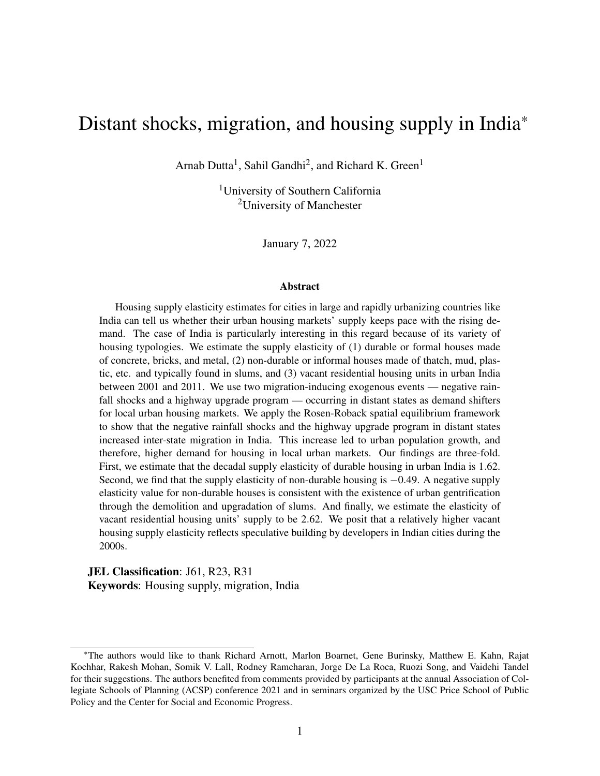lations impose significant building costs on developers [\(Bertaud and Brueckner,](#page-44-5) [2005;](#page-44-5) [Brueckner](#page-44-6) [and Sridhar,](#page-44-6) [2012;](#page-44-6) [Gandhi](#page-45-6) *et al.*, [2021b\)](#page-45-6). Therefore, durable housing supply elasticity estimates almost surely reflect land-use policy decisions.

Last but not least, we estimate the supply elasticity of non-durable or informal housing, which is both an academic contribution and a policy-relevant parameter for a developing country like India. Informal housing has been studied in the literature because it's existence is associated with poverty [\(Marx](#page-47-5) *et al.*, [2013\)](#page-47-5) and institutional frictions such as lack of property rights [\(Brueckner](#page-44-7) [and Selod,](#page-44-7) [2009\)](#page-44-7) and formal housing regulations [\(Henderson](#page-46-2) *et al.*, [2021\)](#page-46-2). Niu *[et al.](#page-47-6)* [\(2021\)](#page-47-6) underscored the important role played by informal housing markets in reducing urbanization costs in Chinese cities by providing low-income migrants with cheaper housing. Informal housing in urban India accounts for 15% of the housing stock and fills the supply gap left by the formal housing market. Hence, an informal housing supply elasticity estimate is important for understanding the housing markets in Indian cities. To the best of our knowledge, this is the first paper that provides an informal housing supply elasticity estimate in a developing country. The closest attempt at estimating an informal housing supply elasticity has been made by Niu *[et al.](#page-47-6)* [\(2021\)](#page-47-6) in Chinese cities. However, they calculate a proxy for informal housing elasticity using the share of village areas on the edges of cities in the total urban built-up area. By contrast, we use direct observations on informal housing to obtain our elasticity figures.

<span id="page-7-0"></span>The rest of the paper is organized as follows. In section [2](#page-7-0) we describe the data used for analysis and present some stylized facts about housing and migration in India in section [3.](#page-11-0) Section [4](#page-14-0) provides a theoretical discussion of the Rosen-Roback spatial equilibrium setting applied in this paper to explain the mechanisms through which distant state shocks act as demand shifters in local housing markets. Section [5](#page-21-0) presents the empirical implementation. We present the results and robustness checks in section [6](#page-30-0) and provide concluding remarks in section [7.](#page-41-0)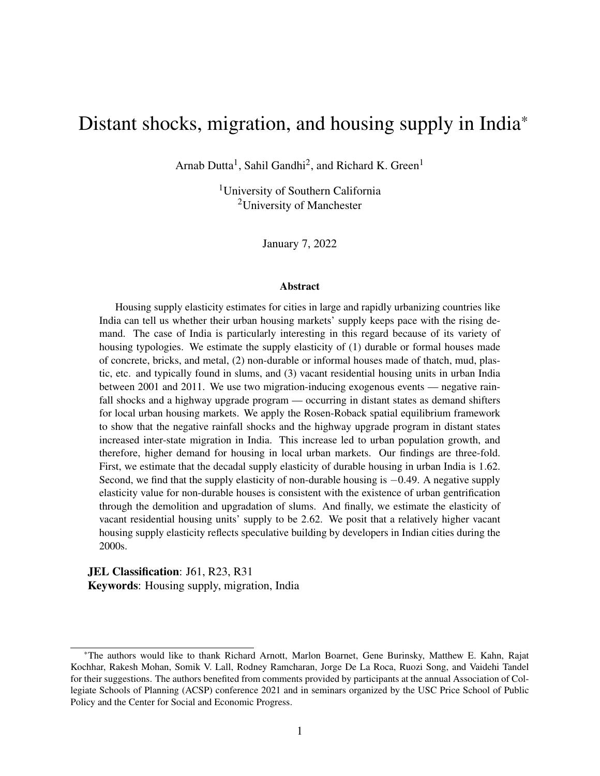# 2 Data

For our analysis, we gather data from the [National Sample Survey Organization](#page-47-7) (NSS), the [Cen](#page-45-0)[sus of India,](#page-45-0) and the [India Meteorological Department](#page-46-3) (IMD). We construct datasets at the state and district levels.<sup>[9](#page-0-0)</sup> We use the state-level datasets to study inter-state migration and analyze the impact of distant state-level shocks on local district-level outcomes. We estimate our elasticity figures using the district-level datasets. We construct a wide form panel for both datasets based on variable values from the Census years 2001 and 2011, which we then use to construct firstdifferenced variables for the actual analysis. In this section, we provide a brief description of the datasets used in the analysis. Summary statistics of all variables are presented in table [1.](#page-9-0)

# 2.1 State-level data

The Census provides decennial data on aggregated in-migration figures for a given region. The data provides details on the time of movement of migrants (i.e., less than a year ago, 1-4 years ago, and 5-9 years ago), the distance migrants traveled from their last place of residence (inter-district, inter-state, etc.), the sector of origin (rural or urban), and their current place of residence (urban or rural). We use this information to construct decadal inter-state migration variables based on the number of individuals who moved into urban areas of a state from both rural and urban areas of another state in the decade leading up to the Census years – 2001 and 2011. The Census datasets also provide the urban population and the urban surface area for a given state.

We obtain data on the mean monthly per capita consumption from the NSS and calculate real values based on the Consumer Price Index data provided by the [Labor Bureau of India.](#page-46-4) We get our data on the National Highways Development Project Phase I, also known as the Golden Quadrilateral (GQ) highway upgrade program, from [Ghani](#page-45-7) *et al.* [\(2016\)](#page-45-7). In figure [4,](#page-10-0) we indicate the 14 states and union territories in India that were recipients of the GQ program. And finally, we gather rainfall shock data from the Open Government Data (OGD) portal of the central government of

<sup>&</sup>lt;sup>9</sup>A district is an administrative unit in India similar to that of a county in the United States.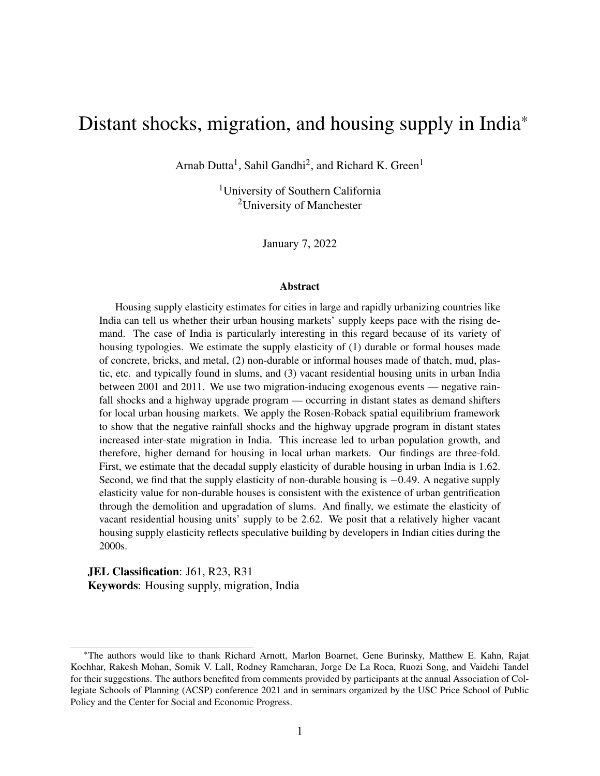|  | Table 1: Summary Statistics |  |
|--|-----------------------------|--|
|--|-----------------------------|--|

<span id="page-9-0"></span>

|                                                            | Panel (a): State-level variables    |           |       |                |
|------------------------------------------------------------|-------------------------------------|-----------|-------|----------------|
|                                                            |                                     | 2001      |       | 2011           |
| Variable                                                   | Mean                                | Std. dev. | Mean  | Std. dev.      |
| No. of months absolute rainfall $\langle 80\%$ last decade | 58                                  | 12        | 64    | 11             |
| No. of inter-state urban migrants moved last decade ('000) | 319                                 | 543       | 452   | 691            |
| Urban population (millions)                                | 8                                   | 11        | 11    | 14             |
| Mean monthly per capita real consumption (INR)             | 890                                 | 274       | 1001  | 374            |
| Urban surface area (sq. miles)                             | 873                                 | 1,119     | 2,321 | 2,719          |
| N                                                          | 35                                  | 35        | 35    | 35             |
|                                                            | Panel (b): District-level variables |           |       |                |
|                                                            | 2001                                |           |       | 2011           |
| Variable                                                   | Mean                                | Std. dev. | Mean  | Std. dev.      |
| Urban population ('000)                                    | 1,181                               | 1,777     | 1,515 | 2,184          |
| No. of non-durable residential houses ('000)               | 46                                  | 42        | 46    | 39             |
| No. of durable residential houses ('000)                   | 180                                 | 311       | 284   | 446            |
| No. of vacant residential houses ('000)                    | 28                                  | 56        | 44    | 81             |
| Mean real rent for non-durable residential houses (INR)    | 302                                 | 223       | 311   | 233            |
| Mean real rent for durable residential houses (INR)        | 628                                 | 276       | 751   | 332            |
| Mean real rent for all residential houses (INR)            | 570                                 | 246       | 684   | 307            |
| Mean monthly per capita real consumption (INR)             | 1,051                               | 247       | 1,110 | 338            |
| Urban surface area (sq. miles)                             | 104                                 | 126       | 134   | 142            |
| Median no. of rooms per house                              | $\overline{2}$                      | $\Omega$  | 2     | $\overline{0}$ |
| N                                                          | 144                                 | 144       | 144   | 144            |

*Data sources*: [National Sample Survey Organization,](#page-47-7) [Census of India,](#page-45-0) and [Labor Bureau of India.](#page-46-4)

*Note*: Table presents summary statistics of variables used in the analysis. Panel (a) presents state-level variables and panel (b) presents district-level variables. All values rounded off to the nearest integer. State-level migration and the number of district-level residential housing units given in thousands. State-level urban population given in millions. Urban surface area values are given in square miles. Rents and consumption values are inflation-adjusted to 2001 INR values using the Consumer Price Index (CPI) data from the Labor Bureau of India. In PPP terms, \$1 = 10 INR in 2001. For exchange rates see: <https://data.oecd.org/conversion/purchasing-power-parities-ppp.htm>

India.<sup>[10](#page-0-0)</sup> This dataset is sourced from the IMD. It reports the percentage deviation of rainfall from the long-term average on a monthly basis between 1901 and 2015. We use this data to construct rainfall shock variables at the state level.  $11$ 

# 2.2 District-level data

We obtain data on the number of various types of residential housing units – non-durable, durable, vacant – at the district level from the Census of India. In addition, we get data on urban population

<sup>10</sup>Please visit the link: <https://data.gov.in/>

 $11$ The original data provides rainfall departure percentages for each of the 36 meteorological subdivisions in India. Meteorological subdivisions are roughly analogous to the state boundaries of India, with a few exceptions. Larger states consist of more than one subdivision, while some smaller states are clustered into one subdivision. We map these meteorological subdivisions to state boundaries and recalculate the rainfall departure values at the state level.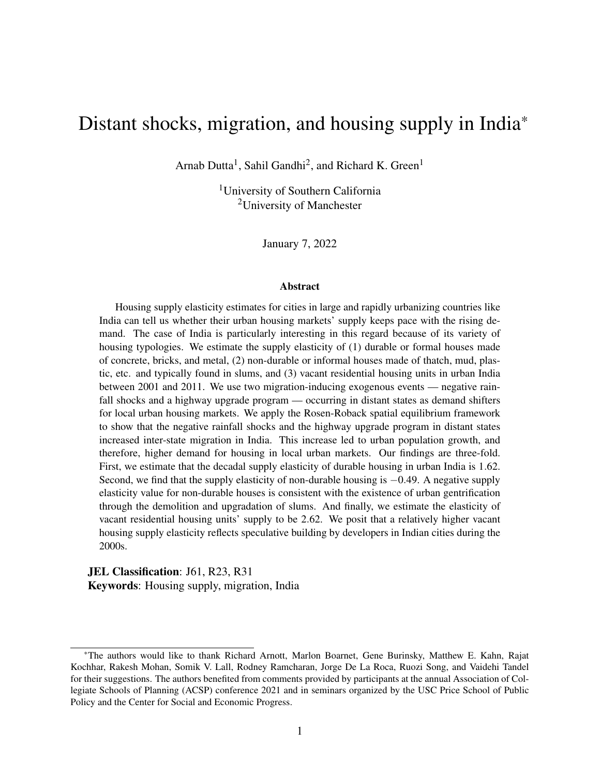<span id="page-10-0"></span>

Figure 4: Map of Golden Quadrilateral recipient states in India

and urban surface area from the Census. We also gather data on district-level mean per capita consumption and the mean housing rents for the various types of housing units in our analysis from the NSS. These rent and consumption values are inflation-adjusted to 2001 values based on the Consumer Price Index data provided by the Labor Bureau of India.

Although there were 640 districts in India in 2011, our final district-level data consists of 144 districts. The number of districts reduces in two ways. First, we recreate the actual administrative district boundaries to obtain time-consistent hypothetical boundaries because district boundaries are realigned in India very frequently.<sup>[12](#page-0-0)</sup> And second, we have data on mean non-durable housing

*Data Source*: [Ghani](#page-45-7) *et al.* [\(2016\)](#page-45-7).

*Note*: Figure presents a map of India with the 35 states and union territories demarcated. Light-colored states were not recipients of the National Highways Development Project Phase I or the Golden Quadrilateral (GQ) highway upgrade project. Dark-colored states were part of the GQ program.

<sup>&</sup>lt;sup>12</sup>While in 2001 there were 593 districts in India, in 2011 that number went up to 640. We create 479 hypothetical districts with time-consistent boundaries by combining all contiguous districts affected by boundary changes and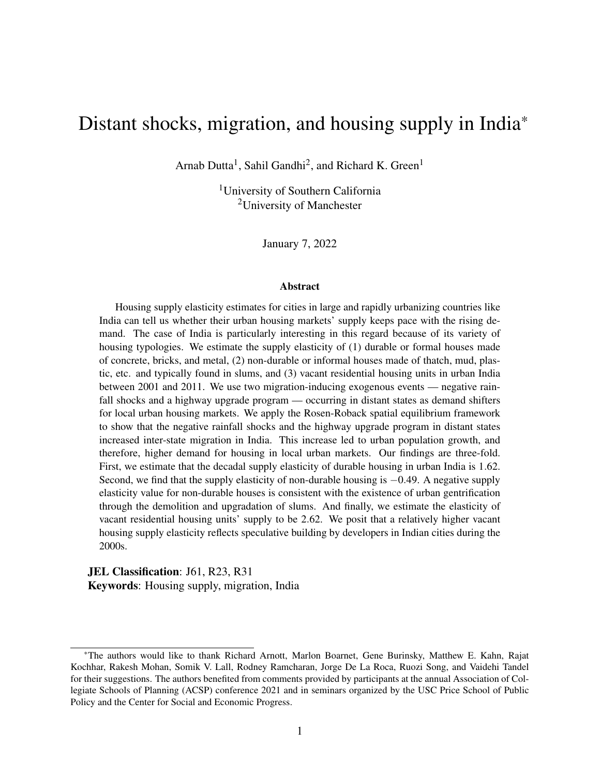<span id="page-11-0"></span>rent values for fewer districts. We estimate the housing supply elasticity of durable units using a larger sample of 339 districts and present the results in table [A.3.](#page-52-0)

# 3 Stylized facts

Housing markets in India have been understudied in the academic literature. There are very few quantitative papers on the subject aside from a couple of demand-side and affordability studies [\(Tiwari and Parikh,](#page-49-3) [1998;](#page-49-3) [Tiwari](#page-49-4) *et al.*, [1999\)](#page-49-4) and some papers looking at new housing construction and rent control laws [\(Dutta](#page-45-8) *et al.*, [2021;](#page-45-8) [Gandhi](#page-45-3) *et al.*, [2021a,](#page-45-3)[b\)](#page-45-6). Hence, the relationship between internal migration and housing in India is not well understood. In this section, we provide some key stylized facts about the relationship between internal migration and urban housing markets. We argue that the growth in inter-state migration in India between the 1990s and the 2000s caused a shift in the demand for housing in India's urban housing markets.

Internal migration in India grew by 71% between 2001 and 2011 (see figure [1\)](#page-2-0). But historically, India has had very low levels of internal mobility. A large body of literature is dedicated to studying the low rates of internal migration in India [\(Bhavnani and Lacina,](#page-44-0) [2017;](#page-44-0) [Kone](#page-46-0) *et al.*, [2018;](#page-46-0) [Munshi](#page-47-0) [and Rosenzweig,](#page-47-0) [2016\)](#page-47-0). One recent study suggests that more Indians are moving internally as a result of the IT boom of the late 1990s and the early 2000s [\(Ghose,](#page-45-2) [2019\)](#page-45-2).

Even though migration in India grew substantially between the 1990s and the 2000s, figure [5](#page-12-0) shows that the urban population's share of internal migrants living in Indian cities increased very little during this time. Inter-state migrants as a share of India's urban population remained flat at 4% between 2001 and 2011. Hence, the question is whether the increase in migration between 2001 and 2011 was enough to cause a shift in the demand for housing in urban India.

We argue that despite the low levels, the increase in inter-state migration in India during the decade of 2001-2011 constituted a housing demand shock in urban areas of India. First, inter-state migration grew by 42% between 2001 and 2011, which is higher than the growth of 32% in India's urban population (see figure [1\)](#page-2-0). And second, there exists a significant and positive relationship leaving districts unaffected by boundary realignment unchanged.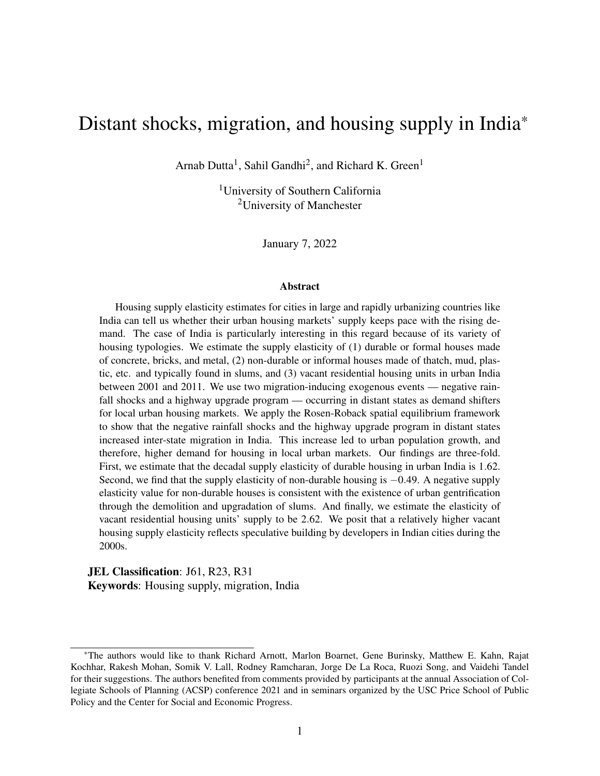<span id="page-12-0"></span>

Figure 5: Share of decadal migrants in urban population of India

*Source*: Author's calculations based on the [Census of India.](#page-45-0)

*Note*: Figure presents the share of inter-city and rural-urban migrants that moved during 1991-2000 and 2001-2010 by migrants' last residence (same or different state) in India's urban population. All bars are labeled by the corresponding values being represented.

between the number of in-migrants and the number of durable and non-durable housing units in urban areas of India, seen in figure [6b](#page-13-0) and figure [6a.](#page-13-0) In section [6,](#page-30-0) we discuss several regression results that indicate the strength of inter-state migration-inducing shocks in explaining local housing demand.

One issue is that prior literature suggests that a major share of migrants in India move into slums and not formal housing [\(Mitra,](#page-47-8) [2010;](#page-47-8) [Srivastava,](#page-49-5) [2011\)](#page-49-5). Hence, migration shocks would more likely capture non-durable rather than durable housing demand shifts. However, while it might be true that a large number of poor Indians move *seasonally* for one to six months to supplement farm incomes with urban informal earnings during lean agricultural seasons before moving back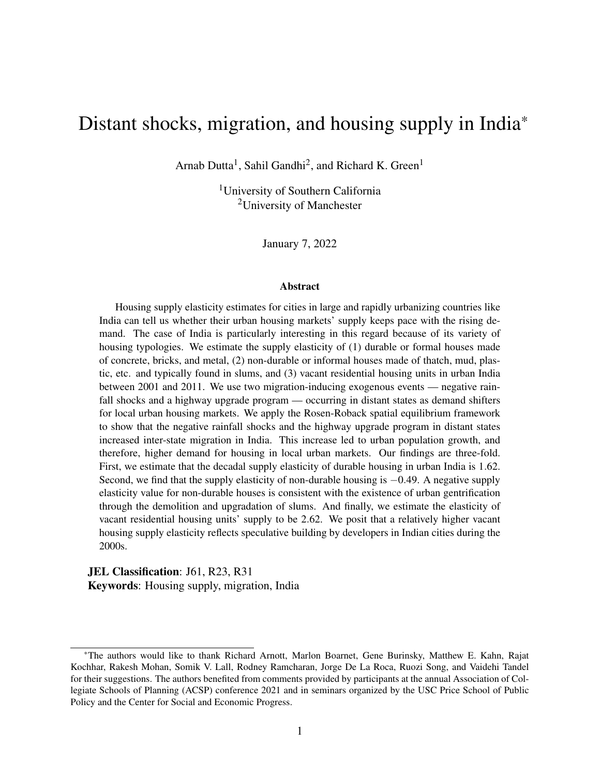<span id="page-13-0"></span>

### Figure 6: Housing and migration in urban India

(a) Urban non-durable units and in-migrants



(b) Urban durable units and in-migrants

*Source*: Author's calculations based on Census of India.

*Note*: Figure in panel (a) presents a scatter plot of the log of state-level urban non-durable housing units and the log of inter-state migrants living in urban areas. The regression lines have slopes of 0.72 and 0.67 respectively for 2001 and 2011, significant at the 99% level. Figure in panel (b) presents a scatter plot of the log of state-level urban durable housing units and the log of inter-state migrants living in urban areas. The regression lines have slopes of 0.80 and 0.71 respectively for 2001 and 2011, significant at the 99% level.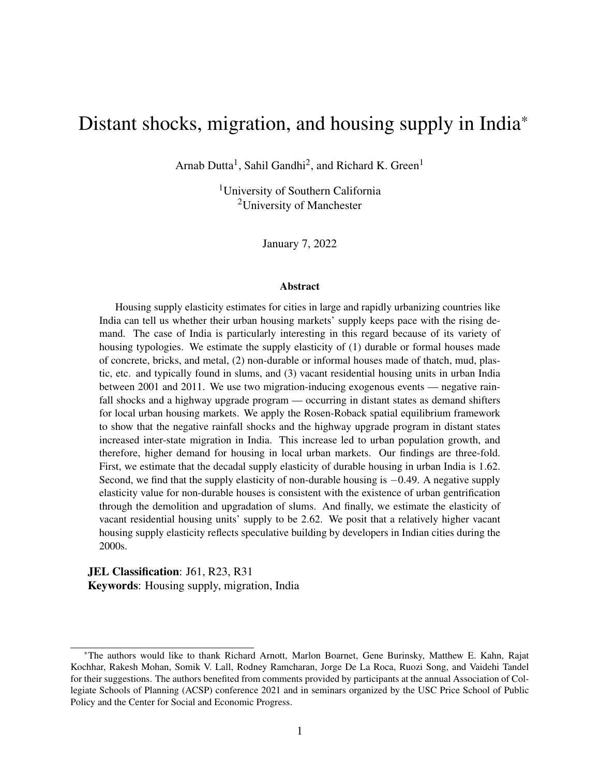to their homes [\(Imbert and Papp,](#page-46-5) [2015,](#page-46-5) [2020;](#page-46-6) [Rosenzweig and Udry,](#page-48-6) [2014\)](#page-48-6), many affluent Indians also migrate and do so permanently rather than seasonally. For instance, the [National Sample](#page-47-7) [Survey Organization](#page-47-7) (NSS) data on employment and migration indicates that while about 12% of households had a seasonal migrant, about 27% of households had a former member that moved out permanently for employment or education. Moreover, the NSS data also indicates that educated households with higher consumption were more likely to have a permanent migrant and less likely to have a seasonal migrant member. Therefore, it is likely that individuals who move permanently across regions choose formal housing over slums.

# <span id="page-14-0"></span>4 Theoretical framework

We use the Rosen-Roback spatial equilibrium framework [\(Roback,](#page-48-0) [1982;](#page-48-0) [Rosen,](#page-48-1) [1979\)](#page-48-1) to analyze the effect of distant region shocks on inter-regional mobility and local housing demand. A shock that affects rents and incomes in a distant region induces spatial disequilibrium, spurring interregional mobility. Such mobility affects local housing demand if net inward mobility to the local region is non-zero. Therefore, distant region shocks that affect rents and incomes in the distant region act as demand shifters and can be used to estimate the local housing supply elasticity. In this section, we provide an analytical discussion of these effects.

### 4.1 Spatial equilibrium

Consider an economy with a local region *i* where we are interested in estimating the housing supply elasticity and a distant region *j* that has exogenous shocks to its economy. The number of individuals occupying regions *i* and *j* are  $n_i$  and  $n_j$  respectively. We assume that each individual is equivalent to a household in either region.<sup>[13](#page-0-0)</sup> In both locations, individuals earn *w* and derive utility from housing services *h*, a numeraire good *c*, and location-specific amenities *a*. Individuals can only transact *h* and *c* in the market. Amenities *a* are exogenously given in a location at any

<sup>13</sup>As long as the number of households and the total population at *i* is monotonically related, relaxing the assumption that each individual in the economy is equivalent to a household does not alter the model mechanisms.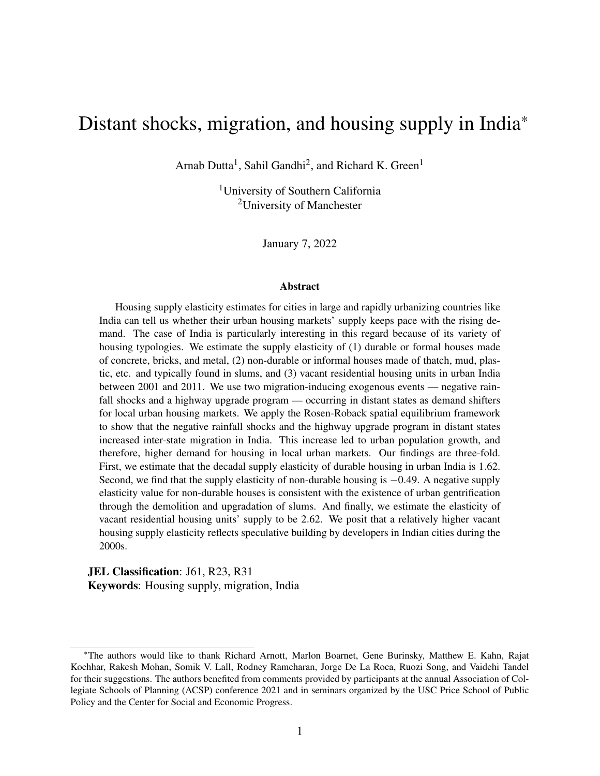given point in time. The market-clearing rent for housing services is *r*. The user-cost model relates *r* to the market-clearing house price *p* through the equation  $r = p(K + T + D + E)$ . Here, *K* is the cost of capital,  $\bar{T}$  is the property tax rate,  $\bar{D}$  is the rate of depreciation, and  $\bar{E}$  is the rate of expected appreciation [\(Poterba,](#page-48-7) [1984\)](#page-48-7). The fact that market-clearing rent for housing services is an appropriate measure of market-clearing price for housing as a composite commodity is well established in the literature [\(Brueckner](#page-45-9) *et al.*, [1987;](#page-45-9) [Mills,](#page-47-9) [1967\)](#page-47-9).

The representative individual's utility maximization problem at *i* can be written as follows:

<span id="page-15-0"></span>
$$
\max_{h_i, c_i} U_i(h_i, c_i) + a_i \quad \text{s.t.} \quad h_i r_i + c_i = w_i \tag{1}
$$

Here,  $U(.)$  is a strictly quasiconcave utility function such that equation [\(1\)](#page-15-0) results in an interior solution. The resulting demand for housing services at *i* is  $h_i^d(r_i, w_i)$ . Hence, the aggregate demand for housing services at *i* can be written as follows:

<span id="page-15-1"></span>
$$
H_i^D = n_i h_i^d(r_i, w_i) \quad \text{where} \quad h_i^d(r_i, w_i) > 0 \tag{2}
$$

The implied indirect utility obtained by the representative individual at *i* is  $V_i(r_i, w_i, a_i)$ . At equilibrium, the values of *r* and *w* adjust such that, given the location-specific amenities in every region, the indirect utility is equal across both regions *i* and *j*. The spatial equilibrium is characterized as follows:

$$
V_i(r_i, w_i, a_i) = V_j(r_j, w_j, a_j) = \bar{V}
$$
\n(3)

<span id="page-15-2"></span>At this equilibrium, there are no gains to mobility between *i* and *j*.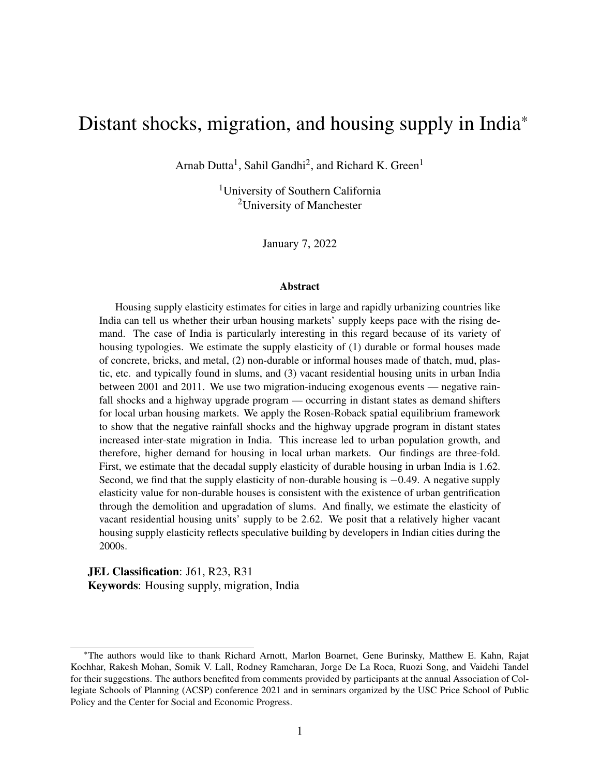### 4.2 Spatial disequilibrium, mobility, and local housing demand

Now consider a shock  $z_j$  at the distant region *j* that does not affect amenities  $a_j$  but changes rent  $r_j$  or income  $w_j$ , or both, thus changing the utility  $V_j$  of individuals at  $j^{14}$  $j^{14}$  $j^{14}$ . The shock *z* could be a negative shock like a drought or a positive shock like a highway upgrade program. Because  $z_j$  affects rent  $r_j$  and income  $w_j$ , it follows that  $V_j(r_j(z_j), w_j(z_j), a_j)$  is an implicit function of  $z_j$ . Hence, in response to *z<sup>j</sup>* , we have a state of spatial disequilibrium as follows:

$$
\tilde{V}_j = V_j(z_j) = V_j(r_j(z_j), w_j(z_j), a_j) \neq \tilde{V} = V_i
$$
\n(4)

Since there are gains to mobility because of the difference in  $V_i$  and  $V_j$ , the shock  $z_j$  will induce mobility between *j* and *i* until *r* and *w* adjust in both *i* and *j*, so that  $\tilde{V}_j = \tilde{V}_i = \tilde{V}$ . In other words, a shock affecting rents and incomes at a distant region *j* induces movement between the distant and the local regions so that rents and incomes change in both locations until spatial equilibrium is restored and there are no gains to moving. This proposition is consistent with past literature on the effects of regional labor and housing market shocks on inter-regional mobility in the United States [\(Molloy](#page-47-1) *et al.*, [2011;](#page-47-1) [Saks and Wozniak,](#page-48-8) [2011\)](#page-48-8).

We characterize mobility *m* between regions *i* and *j* as the vector  $(m_{ij}, m_{ij})$ . *m<sub>ij</sub>* represents the number of individuals moving from *j* to *i* and  $m_{ij}$  denotes the number of individuals moving from *i* to *j*. In other words, *mji* represents in-migration from the distant region *j* to the local region *i* and  $m_{ij}$  represents out-migration from local region *i* to the distant region *j*. This idea is consistent with the bi-directional movement of individuals across regions observed in the data. Spatial equilibrium implies that the net movement between two regions in equilibrium should be equal to zero. A disequilibrium induced by a shock will cause net migration into the region where utility is higher.

<sup>&</sup>lt;sup>14</sup>The impact of *z* on mobility *m* between *i* and *j* will be determined by the implicit function  $m(V(r(z), w(z), a(z)))$ . Hence, assuming that *a* remains exogenous to *z* does not alter the main mechanisms. Note however, that while mobility will respond to  $r(z)$ ,  $w(z)$ , and  $a(z)$ , and  $r$  and  $w$  will in turn change in response to such mobility changes,  $a$  will not. In other words, *a*(*z*) changes only in response to *z*.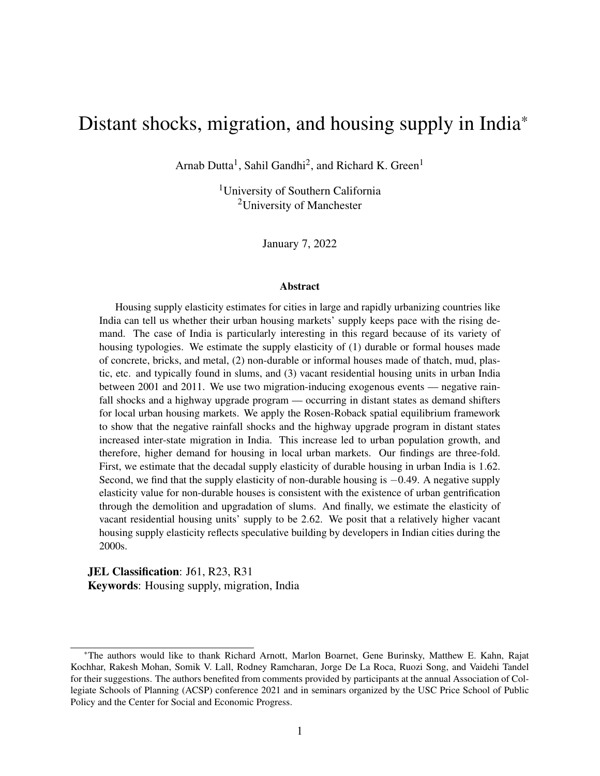Suppose that  $m_{ij}$ (.) and  $m_{ji}$ (.) are two distinct functions of the indirect utilities  $V_i$  and  $V_j$ . At the spatial equilibrium, we have  $m_{ji}(\bar{V}, \bar{V}) = m_{ij}(\bar{V}, \bar{V})$  implying that net movement between *i* and *j* is zero. Now, in response to the shock  $z_j$  the indirect utility at the distant state *j* changes from  $\bar{V}$ to  $V_j(z_j)$ . The resulting migration functions can be written as follows:

$$
m_{ij}(\bar{V}, V_j(z_j)) = m_{ij}(z_j); \quad m_{ji}(\bar{V}, V_j(z_j)) = m_{ji}(z_j)
$$
 (5)

Equation [\(5\)](#page-17-0) implies that both in- and out-migration are implicit functions of the shock *z<sup>j</sup>* . We further make the following assumptions:

<span id="page-17-1"></span><span id="page-17-0"></span>
$$
m'_{ij}(z_j), m'_{ji}(z_j) \ge 0
$$
\n<sup>(6)</sup>

<span id="page-17-3"></span><span id="page-17-2"></span>If 
$$
m'_{ij}(z_j) = 0
$$
 then,  $m'_{ji}(z_j) > 0$  (7)

$$
\text{If } m'_{jj}(z_j) = 0 \text{ then, } m'_{jj}(z_j) > 0 \tag{8}
$$

Equation [\(6\)](#page-17-1) implies that in- and out-migration are weakly increasing functions of the shock *z<sup>j</sup>* . The additional assumptions given by equation [\(7\)](#page-17-2) and equation [\(8\)](#page-17-3) implies that the shock  $z_j$  should affect movement in at least one direction between *i* and *j*. These assumptions restrict the universe of shocks *z* to only those that have a non-zero effect on net mobility across regions.

Both in-migration  $m_{ij}$  into *j* from *i* and out-migration  $m_{ij}$  from *i* to *j* will affect the number of individuals  $n_i$  living in *i* through the function  $n_i(m_{ji}, m_{ij})$ . Therefore, the effect of the distant region shock  $z_j$  on local population  $n_j$  can be written as follows:

<span id="page-17-4"></span>
$$
\frac{dn_i}{dz_j} = \frac{\eta n_i}{\eta m_{ji}} m'_{ji}(z_j) + \frac{\eta n_i}{\eta m_{ij}} m'_{ij}(z_j)
$$
\n(9)

Equation [\(9\)](#page-17-4) implies that the net effect of the distant region shock on local population is the sum of shock-induced in- and out-migration effects on local population. We make the two following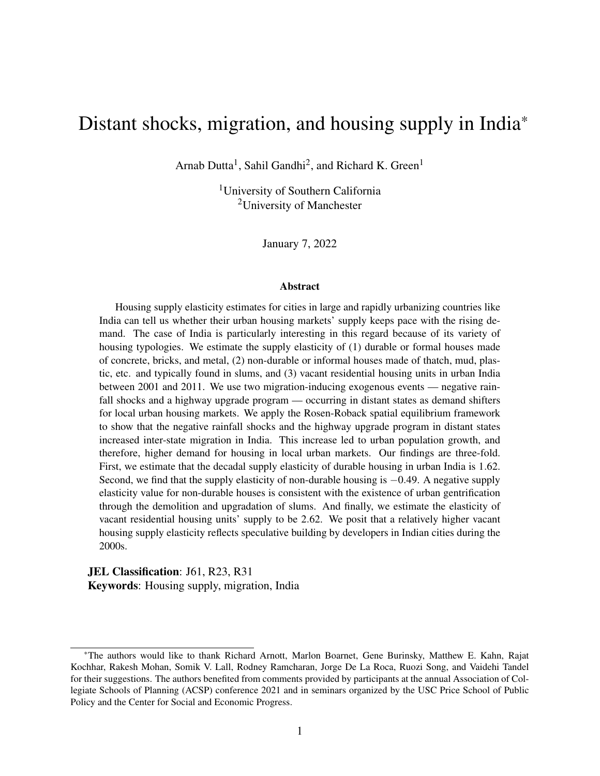assumptions on the effect of in- and out-migration on population at *i*:

<span id="page-18-0"></span>
$$
\frac{\eta n_i}{\eta m_{ji}(z_j)} \ge 0 \quad \text{and} \quad \frac{\eta n_i}{\eta m_{ij}(z_j)} \le 0 \tag{10}
$$

Equation [\(10\)](#page-18-0) implies that the number of individuals  $n_i$  at *i* weakly increases in response to inmigration and weakly decreases in response to out-migration. The weak inequality follows from the fact that the natural rate of growth component in population changes is a major factor and can act as a countering force to both in- and out-migration effects on the local population. Since we do not explicitly model the natural rate of growth component in *dn<sup>i</sup>* , we allow for the possibility of population changes to be independent of migration.

<span id="page-18-1"></span> $\bf{Proposition~1}$  Under the assumptions given by equations [\(6\)](#page-17-1) to [\(8\)](#page-17-3) and equation [\(10\)](#page-18-0),  $\frac{dH_l^D}{dz_j}\lesssim 0$  if *and only if* ¶*ni*  $\left| \frac{\eta_{n_j}}{\eta_{m_{ji}}} m'_{ji}(z_j) \right| \leqq$ ¶*ni*  $\frac{\int n_i}{\int n_{ij}} m'_{ij}(z_j)$ 

Proposition [1](#page-18-1) indicates that the aggregate demand for local housing services  $H_i^d$  responds to migration-inducing shocks at the distant region *j*. The direction of change in aggregate demand for housing services at *i* depends on the relative magnitude of the in-migration and out-migration effects on the local population resulting from the shock *z<sup>j</sup>* . To see this, let us first write the effect of the shock  $z_j$  on the aggregate demand for local housing services  $H_i^d$ , as follows:

<span id="page-18-2"></span>
$$
\frac{dH_i^D}{dz_j} = \frac{\P H_i^D}{\P n_i} \frac{d n_i}{dz_j} h_i^d(r_i, w_i) = \frac{\P H_i^D}{\P n_i} \left( \frac{\P n_i}{\P m_{ji}} m'_{ji}(z_j) + \frac{\P n_i}{\P m_{ij}} m'_{ij}(z_j) \right) h_i^d(r_i, w_i) \tag{11}
$$

The last expression in equation  $(11)$  is derived by substituting equation  $(9)$  after differentiating the aggregate demand  $H_i^D$  given by equation [\(2\)](#page-15-1) with respect to  $z_j$ .

The fact that  $\frac{dH_l^D}{dz_j} \leq 0$  implies  $\Big|$ ¶*ni*  $\left| \frac{\eta_{n_j}}{\eta_{m_{ji}}} m'_{ji}(z_j) \right| \leqq$ ¶*ni*  $\frac{\eta n_i}{\eta m_{ij}} m'_{ij}(z_j)$  directly follows from equation [\(11\)](#page-18-2) and the inequality  $\frac{\eta H_i^D}{\eta n_i} > 0$  derived from equation [\(2\)](#page-15-1). Now, to see the if condition, note first that  $\frac{\eta n_i}{\eta m_{ji}}$ ,  $m'_{ji}(z_j)$  and  $m'_{ij}(z_j)$  are all weakly positive and  $\frac{\eta n_i}{\eta m_{ji}}$  is weakly negative. Hence, we have  $\frac{\eta n_i}{\eta m_{ji}} m'_{ji}(z_j) \ge 0$  and  $\frac{\eta n_i}{\eta m_{ij}} m'_{ij}(z_j) \le 0$ . If  $\Big|$ ¶*ni*  $\left| \frac{\eta_{n_j}}{\eta_{m_jj}} m'_{jj}(z_j) \right| = \left| \right|$ ¶*ni*  $\frac{\eta n_i}{\eta m_{ij}} m'_{ij}(z_j)$ , then  $\frac{dH_i^D}{dz_j} = 0$  trivially follows from equation [\(11\)](#page-18-2). Now, if  $\vert$ ¶*ni*  $\left| \frac{\eta_{n_j}}{\eta_{m_{ji}}} m'_{ji}(z_j) \right| \neq$ ¶*ni*  $\frac{\eta n_i}{\eta m_{ij}} m'_{ij}(z_j)$ , then there are three possibilities.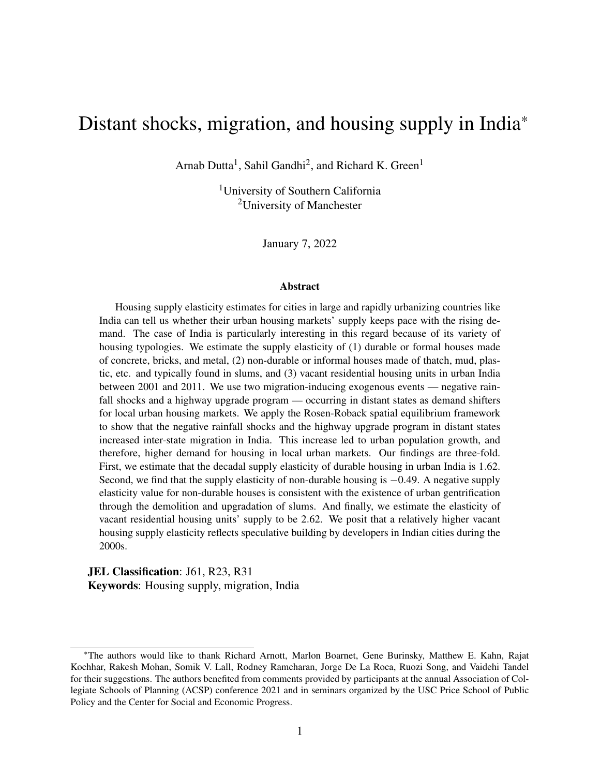First, we can have  $\frac{\ln n}{\ln n_j} m'_{ji}(z_j) > 0$  and  $\frac{\ln n}{\ln n_j} m'_{ij}(z_j) = 0$ , in which case equation [\(11\)](#page-18-2) implies  $\frac{dH_i^D}{dz_j}$ 0. The second possibility is where  $\frac{\eta n_j}{\eta m_{jj}} m'_{jj}(z_j) = 0$  and  $\frac{\eta n_j}{\eta m_{jj}} m'_{jj}(z_j) < 0$ , in which case  $\frac{dH_i^D}{dz_j} < 0$ follows from equation [\(11\)](#page-18-2). And finally, we can have  $\frac{\eta n_i}{\eta m_{ji}} m'_{ji}(z_j) > 0$  and  $\frac{\eta n_i}{\eta m_{ij}} m'_{ij}(z_j) < 0$ , in which case we have  $\frac{dH_i^D}{dz_j} > 0$  if  $\Big|$ ¶*ni*  $\left| \frac{\eta_{n_j}}{\eta_{m_{ji}}} m'_{ji}(z_j) \right| > \left|$ ¶*ni*  $\frac{\eta n_i}{\eta m_{ij}} m'_{ij}(z_j)$ .

Proposition [1](#page-18-1) implies that a distant region shock affecting inter-regional migration acts as a demand shifter in local housing markets. The driving mechanisms behind the distant region shock effect on local housing demand can be described as follows. First, a shock at a distant point affects rents and incomes in that region. This, in turn, changes the indirect utility in the distant region, thereby inducing a state of spatial disequilibrium in the economy. The resulting difference in utilities across the two regions implies gains to mobility. Individuals move across regions. This movement causes a change in the local population and households, thus affecting local housing demand.

It is important to note here, that, distant state shocks such as highway upgrades can lead to increased trading of commodities across states which can in turn affect commodity prices and thereby cause a second channel of impact on housing demand. This is particularly true if both the distant and the local states were recipients of the highway upgrade program. However, it is unlikely that the highway upgrade would have had a long-term impact on consumers' budget constraints since non-housing commodity prices are affected by other factors such as international prices. We test whether the Golden Quadrilateral (GQ) highway upgrade in India had any impact on recipient states' commodity prices by regressing price changes of baskets of non-housing commodities consumed by urban households in a state on the state's GQ recipient status. We find that a state's inclusion in the GQ program had no impact on its commodity prices in urban areas. The results from this regression are given in table [A.1.](#page-50-0) Hence, we ignore the trade channel of impact of distant states' inclusion in the GQ program on local housing demand.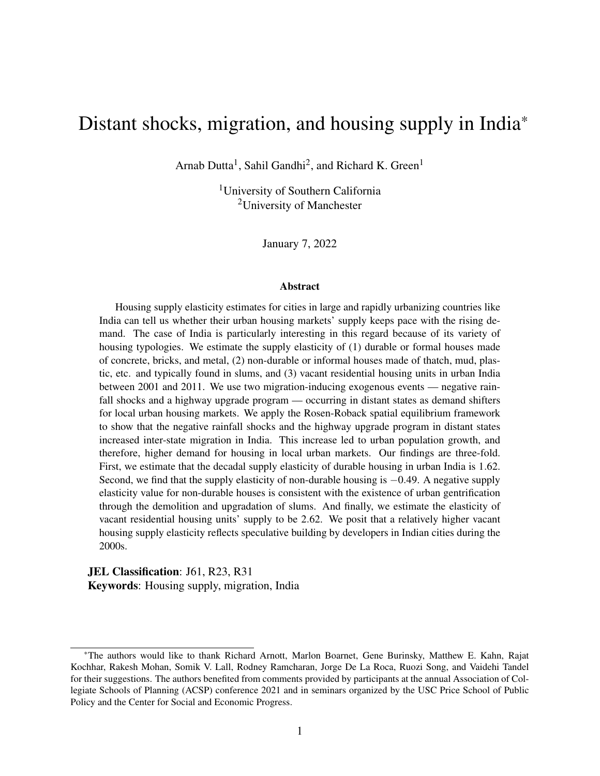## 4.3 Local housing supply

Now, let us consider the total housing stock  $H_i^S$  in the region *i* supplied through a competitive market.  $H_i^S$  is a function of  $r_i$ . At the market equilibrium, we have  $H_i^S = H_i^D(r_i, w_i, n_i)$ . In other words, the market equilibrium implies that the housing supply equals the aggregate quantity of housing services demanded within a region. Let us assume that the supply function is log-linear. Then, the reduced form for the inverse supply function at  $i$  can be written as follows:<sup>[15](#page-0-0)</sup>

<span id="page-20-0"></span>
$$
\log(r_i) = \frac{1}{h_i} \log(H_i^S) \tag{12}
$$

where the housing supply elasticity at *i* is  $h_i$ . Since housing supply is never perfectly elastic,  $h_i$  is a finite real number greater than zero.<sup>[16](#page-0-0)</sup>

Estimating  $h_i$  in equation [\(12\)](#page-20-0) presents a classic endogeneity problem since we only observe market equilibrium values of  $r_i$  and  $H_i^S$ . Hence, we need exogenous demand shifters to trace the slope  $1/h_i$  $1/h_i$  of the inverse supply curve. Proposition 1 shows that exogenous shocks  $z_j$  incident upon a distant region can act as a demand shifter at *i* if the shock *z<sup>j</sup>* induces net non-zero mobility between *i* and *j*. We can write the reduced form effect of *z<sup>j</sup>* on the aggregate demand for housing services as follows:

$$
\log(H_i^D) = bz_j \tag{13}
$$

Proposition [1](#page-18-1) implies that b could be either negative or positive, and its sign depends on the relative magnitude of the in- and out-migration effects of the shock  $z_j$ . The predicted  $log(H_i^D)$ obtained after estimating the parameter  $b$  is an exogenous demand shock which can be substituted in equation  $(12)$  to estimate  $h_i$ . However, if the shock-induced migration affects construction wages, then b might include supply-side factors as well, a concern we address in the empirical

<sup>&</sup>lt;sup>15</sup>Throughout the paper, the log function is used to denote the natural log of its argument.

<sup>&</sup>lt;sup>16</sup>See [Green](#page-46-1) *et al.* [\(2005\)](#page-46-1) for a discussion on imperfect housing supply elasticities and the various reasons for why that is the case in the context of a monocentric city model.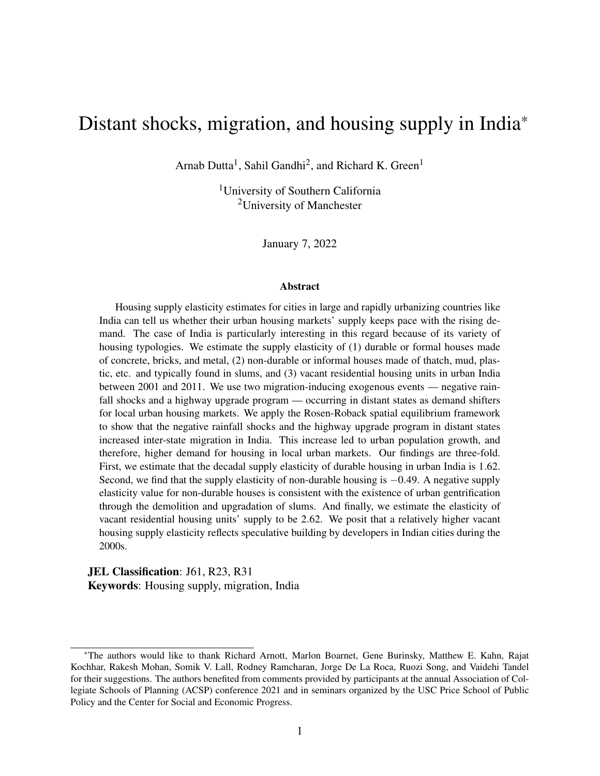section. We posit that  $z_j$  is a demand shifter for all kinds of residential houses — non-durable, durable, and vacant. However, since these housing categories represent different markets, their slopes will be different. In other words, the coefficient b will be different for the three different types of residential housing used in our analysis.

# <span id="page-21-0"></span>5 Empirical implementation

The theoretical framework discussed in section [4](#page-14-0) explains that distant region shocks affect local population, and hence, local housing demand. The driving channel of effect is the migration flow of individuals across regions. In this section, we first discuss the empirical framework for estimating the effect of a distant state shock on inter-state mobility and the resulting effects on local urban population growth. Next, we provide the estimating equations to analyze the effect of the distant state shock-induced urbanization on demand for local urban housing. These two estimation exercises are meant to test whether Proposition [1](#page-18-1) holds true and provide empirical evidence for the mechanisms through which the distant state shocks act as demand shifters in the local urban housing market. Finally, we provide the housing supply estimation model using the distant state shocks as local urban housing demand shifters. Following [Saiz](#page-48-2) [\(2010\)](#page-48-2), we use first difference regressions to explain changes in outcomes as a function of changes in independent variables between 2001 and 2011. We discuss the validity of the distant region shocks as instruments at the end of this section.

### <span id="page-21-1"></span>5.1 Distant shocks, inter-state migration, and urbanization

Let us consider two regions *i* and *j*. Region *i* consists of urban areas of a *local* state and region *j* is made up of both rural and urban areas of a *distant* state. The terms local and distant here are consistent with the previous sections. Following section [4.2,](#page-15-2) let us denote migration flows between *i* and *j* as  $m_k$  where  $k = \{ji, ij\}$ .  $m_{ji}$  represents the number of individuals moving from *j* to *i* and  $m_{ij}$  denotes the number of individuals moving from *i* to *j*. Our goal is to isolate the impact of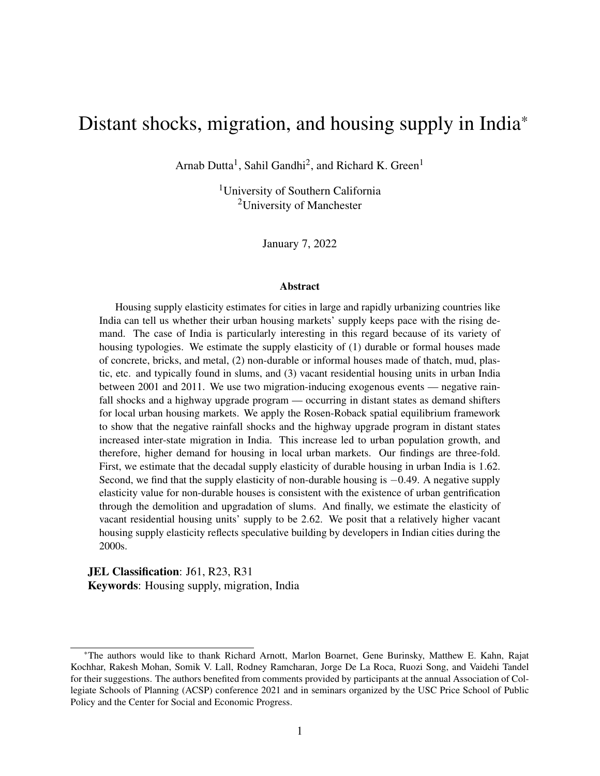migration flows  $m_{ji}$  and  $m_{ij}$  on local urbanization  $D \log(n_i)$  between 2001 and 2011.<sup>[17](#page-0-0)</sup> To do so, we would ideally like to estimate the following first difference equation using data on *i*− *j* pairs of Indian states between 2001 and 2011:

<span id="page-22-0"></span>
$$
D\log(n_i) = I\,D\log(m_{ji}) + pD\log(m_{ij}) + tDx_i + u_{ij} \tag{14}
$$

where  $x_i$  consists of the log of state-level mean per capita consumption, urban surface area, and urban surface area squared at  $i^{18}$  $i^{18}$  $i^{18}$ . The error term is given by  $u_{ij}$ . D represents changes in the variables between 2001 and 2011. The identification of the coefficients given by  $\ell$  and  $p$  is from the variation in the inter-state flows of migration between different *i*− *j* state pairs.

However, the inter-state migration flows are clearly endogenous to local urbanization. Hence, we require instruments for *m<sup>k</sup>* . We propose using distant shocks occurring at state *j* as instruments. Let us denote exogenous events happening at *j* with the vector  $z_j = \{s_j, g_j\}$ . Here,  $s_j$  represents the change in the number of months in the previous decade with rainfall levels less than 80% of the long-term normal at *j* between 2001 and 2011; and *g<sup>j</sup>* is a dummy variable equal to one if state *j* was a recipient of the National Highways Development Project Phase I or the Golden Quadrilateral (GQ) highway upgrade program. We estimate the impact of  $s_j$  and  $g_j$  on migration flows  $m_k$  between *i* and *j* using the following first-stage equation:

<span id="page-22-1"></span>
$$
D\log(m_k) = ms_j + sg_j + yDx_i + j_k \tag{15}
$$

where  $x_i$  is as defined for equation [\(14\)](#page-22-0). The error term is given by  $j_k$ . The identification of the parameter  $\alpha$  is the same as in equation [\(14\)](#page-22-0).

We discuss the exclusion restrictions for the instruments in section [5.4.](#page-26-0) However, we address two additional identification issues here before moving on to the next section. First, by including consumption at *i* as a covariate in equations [\(14\)](#page-22-0) and [\(15\)](#page-22-1), we control for labor market equilibrium

<sup>17</sup>We use the term urbanization to mean both an increase and a decrease in urban population at local region *i*.

 $18$ We use state-level mean monthly per capita consumption as a proxy for income.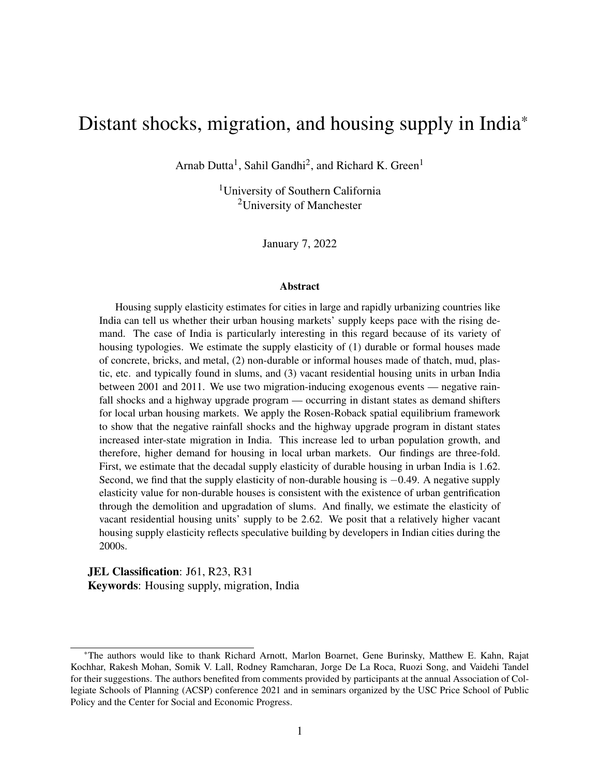changes induced by urbanization at *i* that is caused by changes in migration flows between *j* and *i*. While we model the effect of changing population on demand for housing at local region *i* in section [4.2,](#page-15-2) we do not say anything about the labor market effects of mobility at *i*. If the labor supply at *i* changes in response to the shock-induced mobility, we should expect the labor market equilibrium at *i* to reflect that. The resulting change in incomes will also affect housing demand at *i*. Therefore, we include consumption at *i* as a proxy for income to capture this general equilibrium effect on housing demand through the labor market equilibrium changes resulting from shockinduced migration. We include consumption at *i* as a covariate for all regressions in our empirical analysis.

And second, we include the urban surface area of *i* as a covariate in equations [\(14\)](#page-22-0) and [\(15\)](#page-22-1). This is because several settlements in India are reclassified and declassified as Census towns each Census year, which changes the urban area across Census years.<sup>[19](#page-0-0)</sup> Since we have aggregated data for the urban area in a region, controlling for the urban area allows us to mitigate any effect on migration and urbanization that can be attributed to the change in the urban area itself. We also control for urban area squared to account for the non-linear relationship between the urban area and the outcome variables.

## <span id="page-23-0"></span>5.2 Urbanization and housing demand

In the previous section [5.1,](#page-21-1) we discussed the estimating equations for analyzing the effect of exogenous migration on local urbanization. In this section, we provide the empirical model to estimate the effect of exogenous urbanization on urban housing demand. Following our use of notations from the earlier sections, let's denote changes in the number of housing units as Dlog(*Hi*) and urbanization as  $D \log(n_i)$  in the local region *i*. We use district-level data to estimate the impact of

 $19$ Census towns are areas without an urban administrative body, but with urban-like features with at least 5,000 people, a population density of at least 400 persons per sq. km. and with at least 75% of the male workforce employed in non-agricultural activities.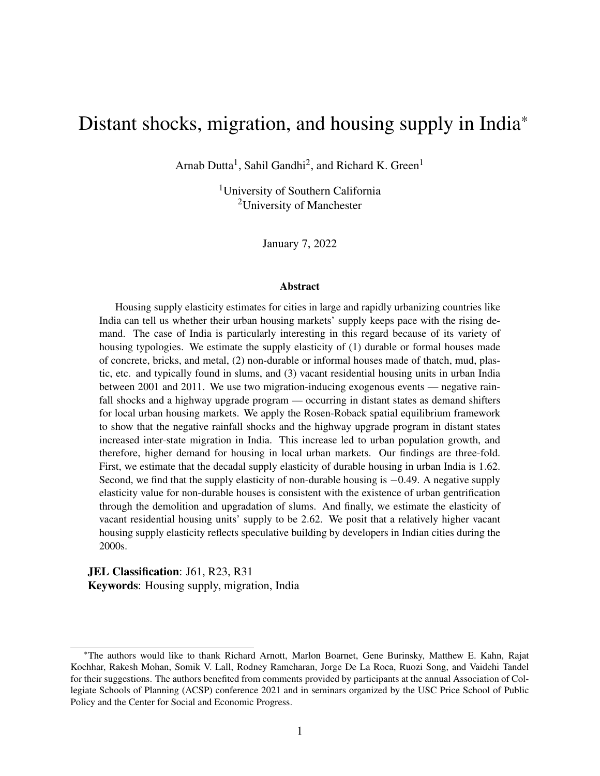$D\log(n_i)$  on  $D\log(H_i)$ , with the following equation:

<span id="page-24-0"></span>
$$
D\log(H_i) = qD\log(n_i) + kDy_i + J_i \tag{16}
$$

where *i* represents urban areas of a district, *y<sup>i</sup>* consists of the median number of rooms at *i* in addition to the log of district-level mean per capita consumption, urban surface area, and urban surface area squared.<sup>[20](#page-0-0)</sup> The error term is given by  $J_i$ . As before, D denotes changes in variables between 2001 and 2011. In other words, we want to estimate the impact of urbanization on housing demand during the 2000s.

Equation  $(16)$  is endogenous because of omitted variable bias since there are unobservables that affect urbanization and housing demand. As in section [5.1,](#page-21-1) we use rainfall shocks  $s_j$  and highway upgrade *g<sup>j</sup>* that occur in a *distant* region *j* as instruments for *local* urbanization at *i*. We use data on *i*− *j* district-state pairs to estimate the following first-stage equation:

<span id="page-24-1"></span>
$$
D\log(n_i) = gs_j + dg_j + fDy_i + n_{ij}
$$
 (17)

where all symbols are as defined before and the error term is given by  $n_{ij}$ . We identify equations  $(16)$  and  $(17)$  the way as in equations  $(14)$  and  $(15)$ .

The identification of equation [\(17\)](#page-24-1) is also predicated on the fact that the distant region shocks would cause migration flows between the distant region and the local region, which would in turn cause urbanization the local region *i*. We establish this in our earlier empirical analysis of the impact of shock-driven migration on urbanization. Next, we use the analysis in this section and in section [5.1](#page-21-1) to construct an empirical strategy to estimate the supply elasticity of housing in urban India.

<span id="page-24-2"></span> $20$ The type of housing can potentially determine the median number of rooms in a house inducing a reverse causal effect of housing on median rooms. We address this endogeneity concern by running regressions without the median number of rooms and find that the results are largely similar (see table [A.2\)](#page-51-0).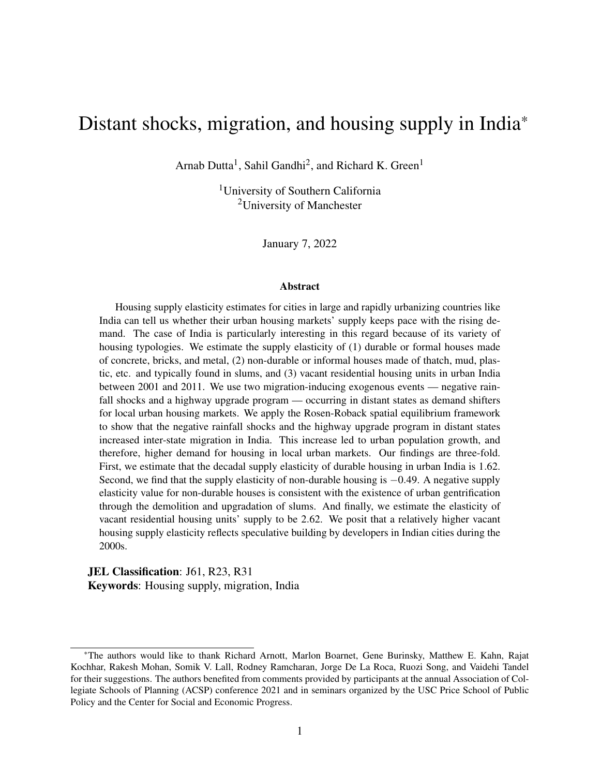#### 5.3 Demand shifters and housing supply elasticity estimation

In this section, we propose an empirical framework to estimate the inverse supply elasticity of urban housing at the local region *i*. As defined in section [5.2,](#page-23-0) *i* consists of urban areas in a district of the local state, and *j* represents a distant state. Let's say that developers' supply response to housing market rent changes  $D \log(r_i)$  at *i* is given by  $D \log(H_i^S)$ . Ideally, we would like to estimate the following inverse supply equation:

<span id="page-25-0"></span>
$$
D\log(r_i) = hD\log(H_i^S)
$$
 (18)

where  $h$  is the inverse supply elasticity.

However, we do not observe  $\text{Dlog}(H_i^S)$ . Instead, we know the market equilibrium quantities of the number of housing units  $D\log(H_i)$ . So, in reality we can only estimate the following equation:

$$
D\log(r_i) = hD\log(H_i) + wDx_i + e_i \tag{19}
$$

where  $x_i$  consists of the log of district-level mean per capita consumption, urban surface area, and urban surface area squared. The error term is given by e*<sup>i</sup>* . Estimating the slope h of the inverse supply curve from equation [\(19\)](#page-25-0) presents a classic endogeneity problem. Hence, the question is how do we find a consistent estimate of h.

To address the endogeneity problem in equation [\(19\)](#page-25-0), we need demand shifters. Proposition [1](#page-18-1) in section [4](#page-14-0) shows that shocks at a distant state *j*, that affect rent and income at *j*, act as demand shifters for housing in district *i*. Our empirical framework discussed in sections [5.1](#page-21-1) and [5.2](#page-23-0) will provide the evidence for the channels through which we expect distant state shocks to act as demand shifters for local urban markets.

We use the same instrument  $z_j = \{s_j, g_j\}$  as defined in section [5.1](#page-21-1) as demand shifters to consistently estimate equation [\(19\)](#page-25-0). To this end, we estimate the following first stage equation using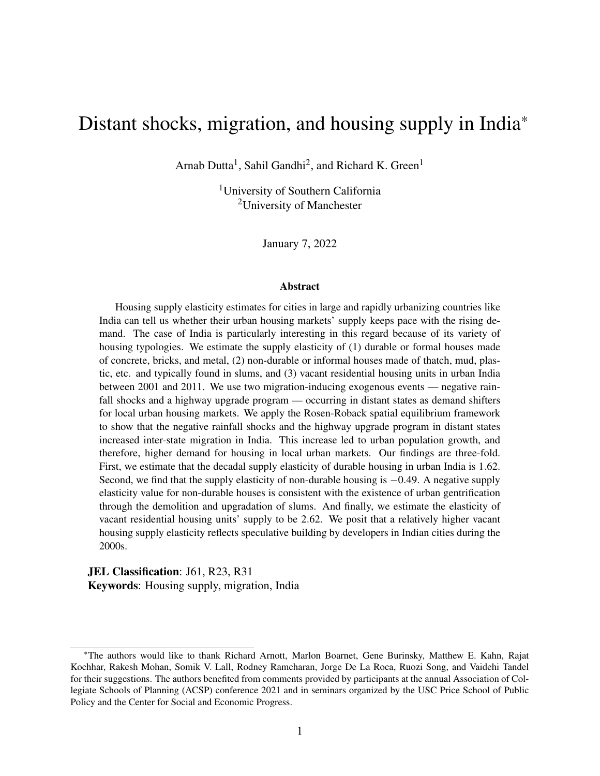data on *i*− *j* district-state pairs in India between 2001 and 2011:

<span id="page-26-1"></span>
$$
D\log(H_i) = as_j + bg_j + rDx_i + e_{ij}
$$
 (20)

where all symbols are as defined before and  $e_{ij}$  is the error term. We estimate three sets of equations, one each for non-durable, durable, and vacant housing units.

There are two things to note here. First, contrary to the existing literature on housing supply estimation, we do not control for construction cost in equations [\(19\)](#page-25-0) and [\(20\)](#page-26-1). This is because we do not have any data on the construction cost at the district level in India. $21$  Second, a possible concern may arise owing to the various rent control laws present in Indian states that prohibit landlords from increasing rents [\(Harari,](#page-46-7) [2020\)](#page-46-7). However, this is unlikely to be a cause for concern since our analysis uses a first difference estimation framework, and new rent control laws were not enacted in India after 2001. Amendments to the preexisting rent control laws did not have provisions that could affect rents paid by tenants [\(Gandhi](#page-45-3) *et al.*, [2021a\)](#page-45-3). Hence, the first differences would mostly absorb the rent control law effects.

# <span id="page-26-0"></span>5.4 Discussion on instruments

The empirical models given by the previous sections [5.1](#page-21-1) to [5.3](#page-24-2) are meant to test the hypothesis that distant state shocks act as local housing demand shifters by inducing migration across regions. Equations [\(14\)](#page-22-0) to [\(17\)](#page-24-1) will be used to estimate the effect of distant shock-induced in- and outmigration on local urbanization and housing demand. Since there are two endogenous independent variables in the migration analysis, we require two instruments to identify equations [\(14\)](#page-22-0) and [\(15\)](#page-22-1). We propose negative rainfall shocks and a national highway upgrade program occurring at a distant state as instruments for in- and out-migration, local urbanization, and changes in the number of housing units in local urban markets. Below, we discuss the validity of these two instruments.

<sup>&</sup>lt;sup>21</sup>The Construction Industry Development Council (CIDC) database provides monthly construction cost indexes for the largest cities in India since 2007. This data is not applicable in this paper because the period of our analysis intersects with this data partly. Besides, we conduct a district-level analysis instead of at the city level.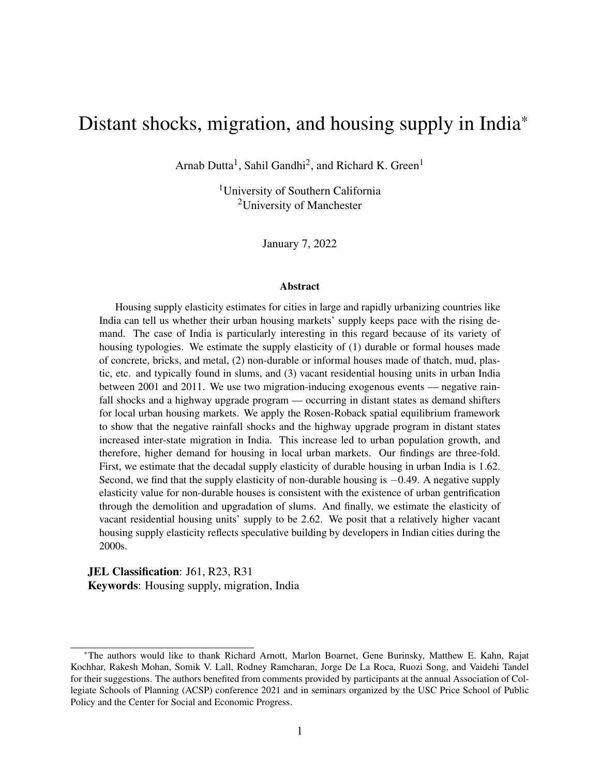Negative rainfall shocks act as negative income shocks in most parts of India due to largely rainfall-dependent agricultural practices. Hence, rainfall levels less than 80% of the long-term normal induce drought-like conditions in several regions and are unfavorable for agricultural output. There is a body of literature examining this relationship between rainfall shocks and agricultural output and its subsequent impact on migration [\(Jayachandran,](#page-46-8) [2006;](#page-46-8) [Morten,](#page-47-10) [2019;](#page-47-10) [Rosenzweig](#page-48-6) [and Udry,](#page-48-6) [2014\)](#page-48-6). Rainfall shocks have been used as an instrument to study civil conflict and dowry deaths in India [\(Sarsons,](#page-48-9) [2015;](#page-48-9) [Sekhri and Storeygard,](#page-48-10) [2014\)](#page-48-10). [Bhavnani and Lacina](#page-44-0) [\(2017\)](#page-44-0) constructed an instrument from negative rainfall shocks to estimate the effect of inter-state migration flows on fiscal federalism in India. Consistent with their use of a rainfall shock instrument and the definition used by the IMD to designate regions as rainfall deficient, we measure the rainfall shock variable as the number of months when absolute rainfall was less than 80% of the long-term normal.[22](#page-0-0)

The validity of rainfall shocks at a distant region as instruments can be argued on two fronts. First, a negative rainfall shock in a distant state is a strong predictor of inter-state migration, local urbanization, and local housing demand as seen in the first-stage regression results given in tables [2](#page-31-0) to [4.](#page-35-0) The diagnostic test statistics confirm the strength of the instruments.

Second, the exogeneity assumption implies that a negative rainfall shock occurring in one state should be sufficiently unexpected and uncorrelated with unobserved factors that affect local urbanization and demand for housing in local urban markets. This can be violated if there is a spatial correlation in rainfall shocks occurring in neighboring states. To rule out this possibility, we conduct robustness checks by running the regressions given in equations [\(14\)](#page-22-0) and [\(15\)](#page-22-1) using shocks that occur in non-contiguous states as instruments. These robustness results, discussed in section [6.4,](#page-37-0) are roughly unchanged from the models using rainfall shocks in all other states as the instrument.

Another potential concern is that the rainfall shocks could spill over into neighboring states as income shocks. However, any such spillover effects of income shocks can only be driven by

 $22$ The complete list of all weather event definitions used by the IMD can be downloaded from the following weblink: <https://www.imdpune.gov.in/Weather/Reports/glossary.pdf>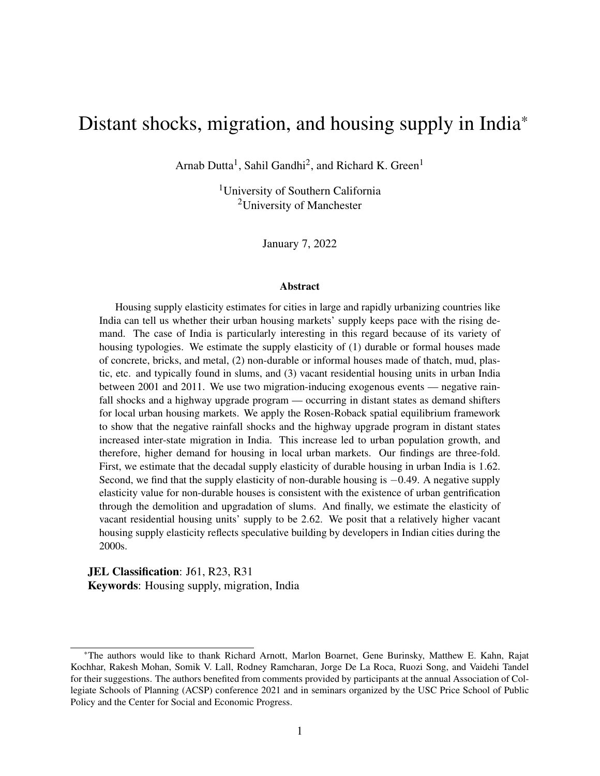the migration of individuals and firms from one state to the other. Since negative rainfall shocks predominantly affect agricultural incomes, we would not expect firms to move in response to such income shocks, especially given the high sunk cost of setting up businesses in India. Therefore, we can argue that negative rainfall shocks meet the exclusion restrictions for an instrument.

The National Highways Development Project Phase I (NHDP I) or the Golden Quadrilateral (GQ) highway project was introduced as a highway upgrade program by the Central government of India in 2000, and it came into effect in 2001. The project was undertaken to primarily upgrade preexisting national highways connecting India's four largest metropolitan cities– Delhi, Mumbai, Kolkata, and Chennai– from two lanes to four lanes. These highways ran through 14 states and union territories (see figure [4\)](#page-10-0). The Golden Quadrilateral project has been documented as a positive economic shock since it affected firm relocation along the highway in the states through which it passed [\(Abeberese and Chen,](#page-44-8) [2021;](#page-44-8) [Ghani](#page-45-7) *et al.*, [2016\)](#page-45-7).

Inclusion of a state in the GQ program is the second distant state shock in our empirical framework. We expect two countervailing effects of the highway upgrade program in a state. First, due to firm relocation along the highways, we would expect to see a growth in employment in the program states. And second, the firm and employment growth will also lead to a positive income shock in program states. These two effects would have a subsequent impact on the mobility of individuals between states. Based on conventional models of mobility, the employment effect would induce movement to the states that were part of the GQ. However, the income effect itself consists of two additional opposing forces. First, higher incomes at the present state of location would reduce outward mobility as predicted by the Harris-Todaro models of rural-urban migration [\(Harris](#page-46-9) [and Todaro,](#page-46-9) [1970;](#page-46-9) [Todaro,](#page-49-6) [1969\)](#page-49-6). And second, higher incomes would also spur movement out of the state of location because higher incomes insure individuals against risky migration outcomes [\(Morten,](#page-47-10) [2019;](#page-47-10) [Munshi and Rosenzweig,](#page-47-0) [2016\)](#page-47-0). The net income effect on mobility hinges on the relative strength of these two factors.

We argue that a distant state's inclusion in the GQ program is a valid instrument for inter-state migration, local urbanization, and demand for housing in local urban markets. First, a distant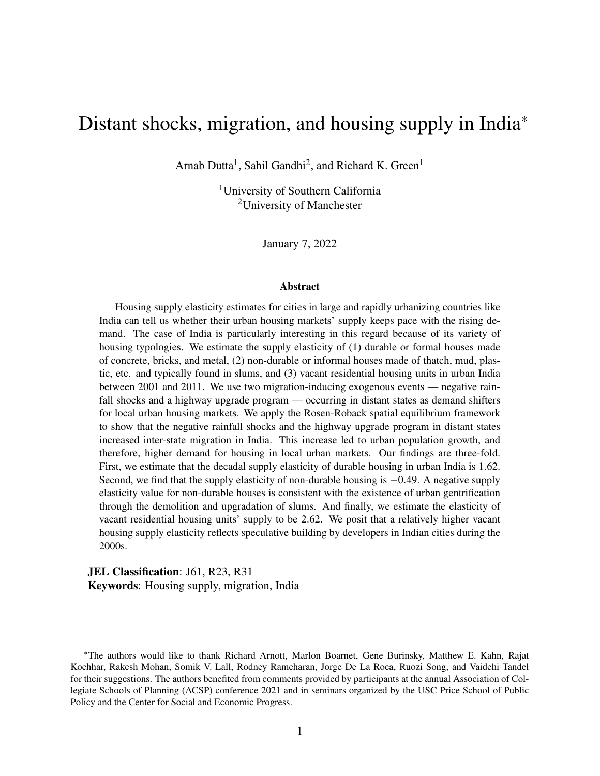state's inclusion in the GQ program is a significant predictor of inter-state migration, local urbanization, and local demand for housing as seen in the first-stage regressions in tables [2](#page-31-0) to [4.](#page-35-0)

Second, to satisfy the exogeneity assumption, the inclusion of one state in the GQ program should be exogenous to unobservables that affect inter-state migration, local urbanization, and local demand for housing. This can be violated if the inclusion of one state in the GQ program is correlated with the inclusion of another state in the program. This is unlikely to be the case since these highways were constructed on trade routes built during ancient and colonial times. For instance, the National Highway II (NH2) was constructed on portions of the Grand Trunk Road that was first built by the emperor Chandragupta Maurya during the 3rd century BCE and later redeveloped under the rule of emperor Sher Shah Suri, the Mughals, and the British Raj [\(Elisseeff,](#page-45-10) [2000;](#page-45-10) [Thapar,](#page-49-7) [2015\)](#page-49-7).

Another concern is that neighboring states have a higher probability of being on ancient trade routes, thereby indicating a correlation between contiguous states' inclusion in the GQ program. In our first difference framework, such time constant state border effects would be eliminated.

The GQ upgrade program across contiguous states might also potentially affect housing supply if better contiguous-state road networks lead to higher trading, and thus, reduced prices of construction material. Robustness checks with distant non-contiguous states' inclusion in the GQ program as the instrument yield similar results as discussed in section [6.4.](#page-37-0)<sup>[23](#page-0-0)</sup>

Third, the only channel other than the migration of individuals through which the GQ program in one state can affect local urbanization and local demand for housing in another state is through the simultaneous relocation of firms. However, it is unlikely that the relocation of firms producing non-housing goods would affect local urbanization and local demand for housing that is independent of individual migration. If real estate firms or developers relocate across state boundaries in response to the GQ program, then the housing supply would also be affected by the GQ program in a different state, thus violating the exogeneity assumption. But, given the heterogeneity in property

 $^{23}$ Even though we expect construction material to be traded across neighboring states, it's unlikely that trading of construction material happens across non-contiguous states since substances such as cement are heavy and difficult to transport.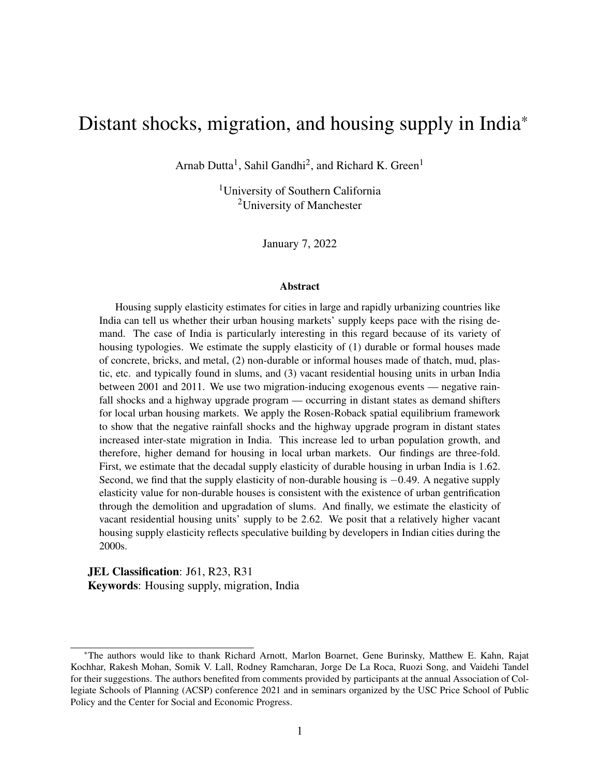rights and laws across Indian states due to individual state governments' jurisdiction over land and real estate, it is unlikely that developers from one state would relocate to another in response to the GQ program.<sup>[24](#page-0-0)</sup> Hence, a distant state's inclusion in the GQ program is a valid instrument for inter-state migration, local urbanization, and demand for housing in local urban markets.

# <span id="page-30-0"></span>6 Results

The previous sections [4](#page-14-0) and [5](#page-21-0) lay down the theoretical and the empirical framework to analyze the effect of distant region shocks on local urban housing demand due to mobility in spatial disequilibrium. This allows for the estimation of local urban housing supply elasticity using the distant state shocks as demand shifters. In this section, we first estimate the effect of the distant state shocks on inter-state mobility. Next, we estimate the effect of exogenous shock induced-mobility on local urbanization. Then, we estimate the effect of exogenous urbanization on local urban housing demand. We use the same distant state exogenous shocks as housing demand shifters to estimate the local urban housing supply elasticities. Additional identification concerns are addressed with robustness checks. We end this section with a discussion on state-level durable and vacant housing supply elasticities.

# <span id="page-30-1"></span>6.1 Effect of inter-state migration on local urbanization

We estimate the impact of distant state shocks on inter-state migration. We then use the distant state shocks as instruments for migration and estimate migration's impact on local urbanization in India. We use state-level data for Census years 2001 and 2011 for our estimation. Consistent with our use of notations in previous sections, we denote urban areas of a local state with index *i* and the distant state with index *j*.

We use two exogenous shocks that occur in the distant state *j*. The first shock is measured as

<sup>&</sup>lt;sup>24</sup>In some cases, states might directly prohibit non-residential individuals from property ownership or construction of houses. For instance, Karnakata and Sikkim allow individuals to own land and construct houses only upon providing state domicile certificates.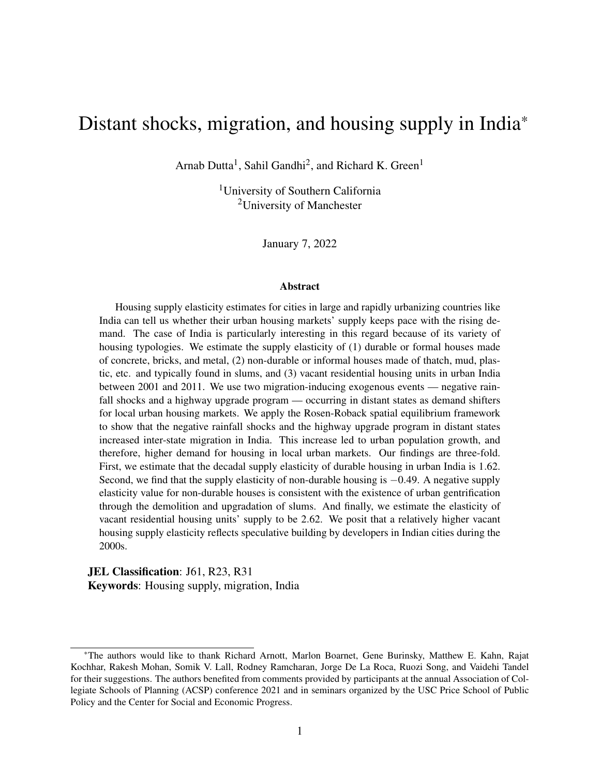the decadal change in the number of months when absolute rainfall was less than 80% of the longterm normal at *j*. The second shock is the inclusion of state *j* in the Golden Quadrilateral (GQ) highway upgrade program. We estimate the regression coefficients in equations [\(14\)](#page-22-0) and [\(15\)](#page-22-1) and present the results in table [2.](#page-31-0)

<span id="page-31-0"></span>

|                                                          | 2SLS                               |                                                          |                            |  |
|----------------------------------------------------------|------------------------------------|----------------------------------------------------------|----------------------------|--|
|                                                          | First-stage                        | Second-stage                                             |                            |  |
|                                                          |                                    |                                                          |                            |  |
| $D = 2011 - 2001$                                        |                                    | Dependent variable                                       |                            |  |
|                                                          | Dlog migration 0-9 yrs. $j$ to $i$ | Dlog migration 0-9 yrs. $\dot{\imath}$ to $\dot{\jmath}$ | Dlog urban population at / |  |
|                                                          | (1)                                | (2)                                                      | (3)                        |  |
| Dlog migration 0-9 yrs. $\frac{1}{10}$ to $\frac{1}{10}$ |                                    |                                                          | $0.999***$                 |  |
|                                                          |                                    |                                                          | (0.232)                    |  |
| Dlog migration 0-9 yrs. $i$ to $j$                       |                                    |                                                          | $-0.365$                   |  |
|                                                          |                                    |                                                          | (0.372)                    |  |
| D#months rainfall $< 80\%$ last decade at j              | $0.011***$                         | $-0.002$                                                 |                            |  |
|                                                          | (0.003)                            | (0.003)                                                  |                            |  |
| GQ highway dummy at /                                    | $0.269***$                         | $0.211***$                                               |                            |  |
|                                                          | (0.043)                            | (0.046)                                                  |                            |  |
| Dlog consumption at $\ell$                               | $-0.275*$                          | $-0.069$                                                 | $0.451***$                 |  |
|                                                          | (0.159)                            | (0.232)                                                  | (0.166)                    |  |
| D urban surface area at <i>i</i>                         | 0.030                              | $0.221***$                                               | $0.147*$                   |  |
|                                                          | (0.028)                            | (0.035)                                                  | (0.081)                    |  |
| D urban surface area squared at <i>i</i>                 | $0.007***$                         | $-0.015***$                                              | $-0.018**$                 |  |
|                                                          | (0.002)                            | (0.003)                                                  | (0.007)                    |  |
| F-stat on excluded instruments                           | 29.9***                            | $10.4***$                                                |                            |  |
| Anderson-Rubin Wald $c^2(2)$                             |                                    |                                                          | 254 ***                    |  |
| $\mathbf N$                                              | 1,028                              | 1,028                                                    | 1,028                      |  |
| Adj. R-sq                                                | 0.179                              | 0.122                                                    |                            |  |

Table 2: Distant shock-induced migration and local urbanization

*Source*: Authors' calculations.

*Note*: Table presents results from two-stage least squares regression of the log difference of urban population in state *i* on endogenous variables – log differences of in- and out-migration in the previous decade between state *i* and other states *j*. State *i* is the local region and state *j* is the distant region. There are 1,028 *i*− *j* state pairs consisting of the 35 states and union territories in India. The log differences are calculated as first differences of log values between the years 2001 and 2011. The log differences of in- and out-migration are instrumented by the decadal change in the number of months when rainfall was less than 80% of the long-term normal in state *j*, and a dummy variable equal to one if state *j* was recipient of the Golden Quadrilateral highway upgrade program. The first-stage regression coefficients are given in columns (1) and (2) and the second-stage results are given in column (3). Other variables in the regressions include log difference in state-level mean per capita consumption at *i*, and changes in the urban surface area and the urban surface area squared at *i*. Diagnostics reported are the F-test of excluded instruments' joint significance and the Anderson-Rubin Wald chi-square test of significance of endogenous regressors. Urban surface area unit is in 1000 sq. miles. Robust standard errors in parentheses. \*  $p < 0.10$ , \*\*  $p < 0.05$ , \*\*\*  $p < 0.01$ .

We observe a number of things in table [2.](#page-31-0) First, while the rainfall shock at *j* had a positive impact on migration from *j* to *i*, it did not affect migration from *i* to *j*. One additional month of absolute rainfall less than 80% of the long-term normal at *j* increased migration from *j* to *i* by 1.1%. This is consistent with the literature that negative rainfall shocks spur outward mobility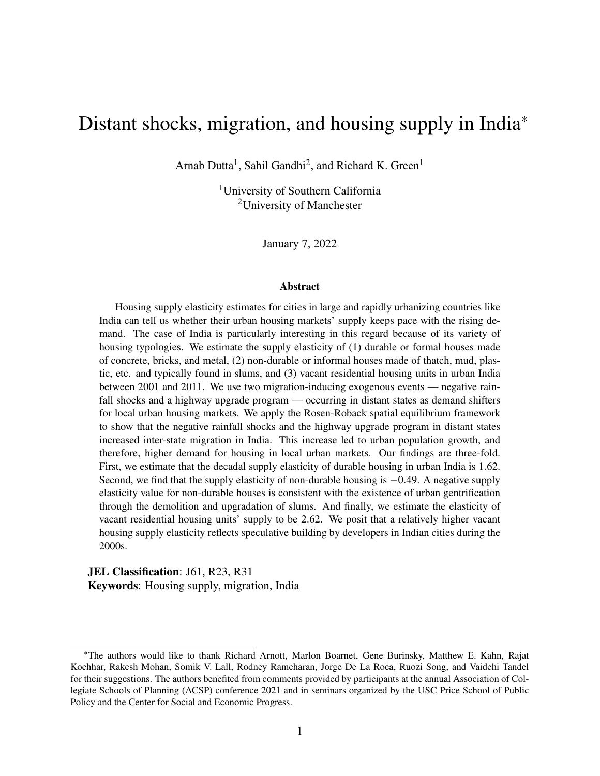from affected regions in India spur [\(Bhavnani and Lacina,](#page-44-0) [2017;](#page-44-0) [Rosenzweig and Udry,](#page-48-6) [2014\)](#page-48-6).

Second, the highway upgrade at *j* had a positive and significant impact on migration from both *j* to *i* and *i* to *j*. A distant state's inclusion into the GQ program increased migration from *j* to *i* by 27% and migration from *i* to *j* by 21%. This is consistent with the idea that the labor demand shock from firm relocation along the highway would have increased movement toward states included in the GQ program [\(Bartik,](#page-44-9) [1993\)](#page-44-9), and the higher insurance due to the income effect resulting from the labor demand shock would have spurred movement outward from those states [\(Morten,](#page-47-10) [2019\)](#page-47-10).

And finally, we see in the second-stage results that an increase in migration from *j* to *i* caused *i* to urbanize roughly at the same rate but migration from *i* to *j* had no impact on the urban population at *i* suggesting that the net impact of the distant shock-induced migration was to cause an increase in urban population at *i*.

## <span id="page-32-0"></span>6.2 Effect of local urbanization on local demand for housing

In this section, we first estimate the effect of distant state shocks on local urbanization. Then we use the distant state shocks as instruments for local urbanization to estimate urbanization's impact on local housing demand. As in previous sections, we use the index *i* to denote the local region or urban areas of a district and *j* to represent the distant region or states other than the one in which district  $\ell$  is located. We estimate the coefficients in equations [\(16\)](#page-24-0) and [\(17\)](#page-24-1) with first difference models using data on *i* − *j* district-state pairs in India between 2001 and 2011. The results are presented in table [3.](#page-33-0)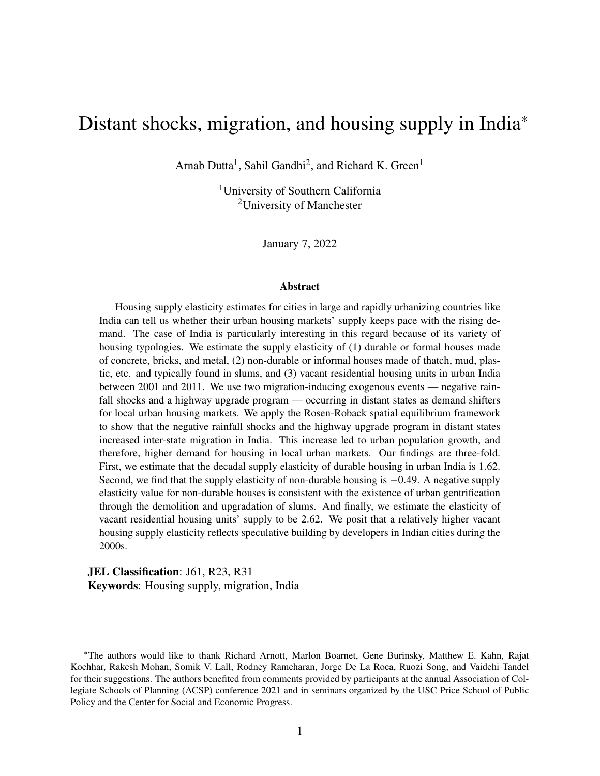|                                         |                              | 2SLS                               |                                |                               |
|-----------------------------------------|------------------------------|------------------------------------|--------------------------------|-------------------------------|
|                                         | First-stage                  |                                    | Second-stage                   |                               |
| $D = 2011 - 2001$                       |                              | Dependent variable                 |                                |                               |
|                                         | Dlog urban population at $i$ | Dlog non-durable units at <i>i</i> | Dlog durable units at <i>i</i> | Dlog vacant units at <i>i</i> |
|                                         | (1)                          | (2)                                | (3)                            | (4)                           |
| Dlog urban population at /              |                              | $0.237***$                         | $1.85***$                      | $2.42***$                     |
|                                         |                              | (0.024)                            | (0.026)                        | (0.035)                       |
| D#months rainfall $< 80\%$ at j         | $0.011***$                   |                                    |                                |                               |
|                                         | (0.000)                      |                                    |                                |                               |
| GQ highway dummy at j                   | $0.124***$                   |                                    |                                |                               |
|                                         | (0.005)                      |                                    |                                |                               |
| Dlog consumption at /                   | 0.009                        | $-0.210***$                        | $0.040**$                      | $-0.205***$                   |
|                                         | (0.013)                      | (0.013)                            | (0.018)                        | (0.020)                       |
| D urban surface area at /               | $5.12***$                    | $0.502**$                          | $-1.46***$                     | $-2.89***$                    |
|                                         | (0.202)                      | (0.205)                            | (0.225)                        | (0.318)                       |
| D urban surface area squared at i       | $-5.51***$                   | $-1.38***$                         | $1.13***$                      | $1.13**$                      |
|                                         | (0.417)                      | (0.324)                            | (0.309)                        | (0.464)                       |
| D median no. rooms per unit at <i>i</i> | $-0.007$                     | $-0.142***$                        | $0.035***$                     | $-0.030***$                   |
|                                         | (0.008)                      | (0.007)                            | (0.007)                        | (0.011)                       |
| F-stat on excluded instruments          | 983***                       |                                    |                                |                               |
| Anderson-Rubin Wald $c^2(2)$            |                              | 78.4***                            | 3281***                        | 2500***                       |
| Sargan-Hansen J-stat p-value            |                              | 0.728                              | 0.424                          | 0.973                         |
| ${\bf N}$                               | 4,896                        | 4,896                              | 4,896                          | 4,896                         |
| Adj. R-sq                               | 0.603                        |                                    |                                |                               |

### <span id="page-33-0"></span>Table 3: Distant shock-induced local urbanization and housing demand

*Source*: Authors' calculations.

Note: Table presents results from two-stage least squares regressions of the log differences of three types of residential housing units in district *i* – non-durable, durable, and vacant – on the endogenous variable - log difference of urban population in district *i*. The log differences are calculated as first differences of log values between the years 2001 and 2011. District *i* is the local region and is paired with distant states indexed *j*. There are 4,896 *i* – *j* district-state pairs consisting of 144 districts and 35 states and union territories in India. The log difference of urban population in district *i* is instrumented<br>h by the decadal change in the number of months when rainfall was less than 80% of the long-term normal in <sup>a</sup> distant state *j*, and <sup>a</sup> dummy variable equa<sup>l</sup> to one if state *j* was recipient of the Golden Quadrilateral highway upgrade program. The first-stage regression coefficients are given in column (1) and the second-stage results are given in columns (2)-(4). Other variables in the regressions includelog difference in district-level mean per capita consumption at *i*, changes in the urban surface area and the urban surface area squared at *i*, and the median number of rooms in a residential housing unit in district *i*. Diagnostics reported are the F-test of excluded instruments' joint significance, the Anderson-Rubin Wald chi-square test of significance of endogenous regressors, and the Sargan-Hansen J-statistic for overidentification tests. Urban surface area unit is in 1000 sq. miles. Robust standard errors in parentheses. \*  $p < 0.10$ , \*\*  $p < 0.05$ , \*\*\*  $p < 0.01$ .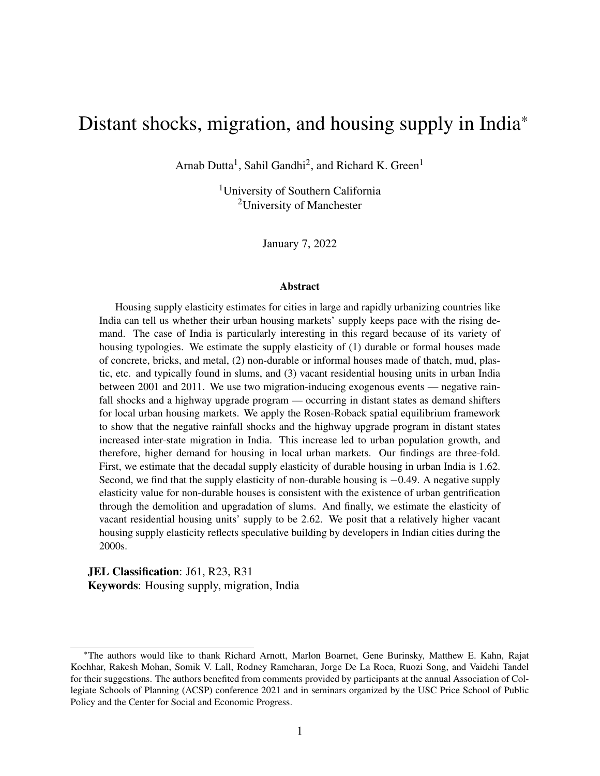In the first-stage regressions, we find that both the rainfall shock and the highway upgrade program at the distant state *j* led to urbanization at *i*. An additional month of rainfall level less than 80% of the long-term normal at state *j* led to an increase in urban population by 1.1% at *i*. The inclusion of state *j* in the GQ program increased the urban population by 12% at *i*. This is consistent with findings in table [2](#page-31-0) that the shocks had a positive effect on migration from *j* to *i* and not on migration from *i* to *j* and that such in-migration led to urbanization at *i*.

In the second-stage regression results, we see that the distant state shock-induced urbanization had a positive impact on the number of urban non-durable, durable, and vacant housing units. A 1% increase in urban population led to a 0.24% increase in demand for non-durable houses, 1.8% increase in demand for durable houses, and 2.4% increase in vacant houses in urban India. A higher impact of urbanization on durable housing units compared to non-durable ones is consistent with the fact that individuals living in non-durable houses consume lower floor area than those living in durable houses.<sup>[25](#page-0-0)</sup> The significant increase in vacant houses in response to urbanization in India was in part due to developers engaging in speculative building with the expectation that future demand would be higher in response to migrant in-flows [\(Gandhi](#page-45-3) *et al.*, [2021a\)](#page-45-3).

# <span id="page-34-0"></span>6.3 Housing supply elasticity estimates

In sections [6.1](#page-30-1) and [6.2,](#page-32-0) we discussed empirical estimates for the effect of distant state shocks on mobility, urbanization, and demand for housing in local urban markets. These results helped explain the mechanisms through which negative rainfall shocks and the Golden Quadrilateral (GQ) highway upgrade program status of distant states can affect local urban housing demand. We build on this framework to estimate the supply elasticity of local urban housing using distant state rainfall shocks and the distant state's GQ highway upgrade program inclusion status as demand shifters.

<sup>&</sup>lt;sup>25</sup>Data from the [National Sample Survey Organization](#page-47-7) housing conditions survey conducted in 2012 indicates that while the average per capita floor area consumption among durable housing occupants was 77 square feet, floor area per person was 52 square feet among those living in non-durable housing in urban India.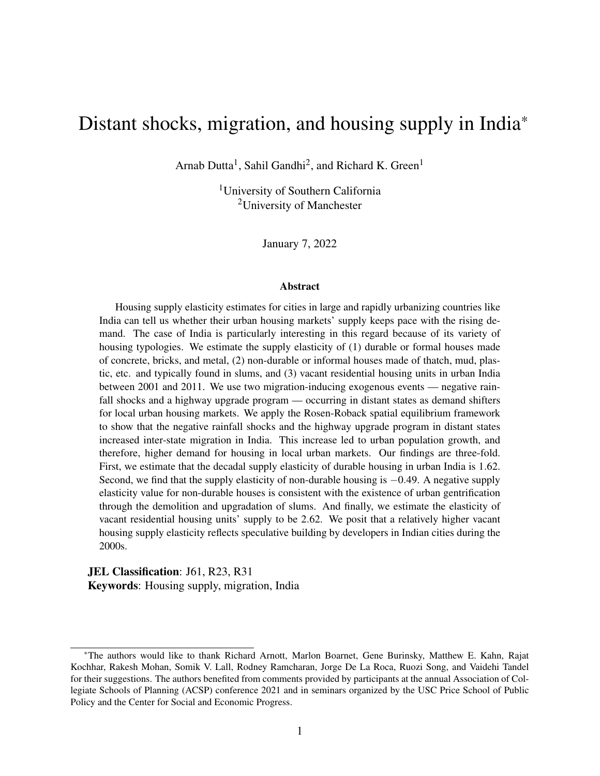|                                    |                             | 2SLS                    |                               |                            |                        |                               |
|------------------------------------|-----------------------------|-------------------------|-------------------------------|----------------------------|------------------------|-------------------------------|
|                                    |                             | First-stage             |                               |                            | Second-stage           |                               |
|                                    |                             |                         |                               |                            |                        |                               |
| $D = 2011 - 2001$                  |                             |                         | Dependent variable            |                            |                        |                               |
|                                    | Dlog non-durable units at / | Dlog durable units at / | Dlog vacant units at <i>i</i> | Dlog non-durable rent at i | Dlog durable rent at i | Dlog overall rent at <i>i</i> |
|                                    | (1)                         | (2)                     | (3)                           | (4)                        | (5)                    | (6)                           |
| Dlog non-durable units at <i>i</i> |                             |                         |                               | $-2.06***$                 |                        |                               |
|                                    |                             |                         |                               | (0.564)                    |                        |                               |
| Dlog durable units at /            |                             |                         |                               |                            | $0.617***$             |                               |
|                                    |                             |                         |                               |                            | (0.037)                |                               |
| Dlog vacant units at <i>i</i>      |                             |                         |                               |                            |                        | $0.381***$                    |
|                                    |                             |                         |                               |                            |                        | (0.026)                       |
| D#months rainfall $< 80\%$ at j    | $0.002***$                  | $0.021***$              | $0.027***$                    |                            |                        |                               |
|                                    | (0.000)                     | (0.001)                 | (0.001)                       |                            |                        |                               |
| GQ highway dummy at j              | $0.027***$                  | $0.226***$              | $0.300***$                    |                            |                        |                               |
|                                    | (0.007)                     | (0.007)                 | (0.011)                       |                            |                        |                               |
| Dlog consumption at /              | $-0.195***$                 | $0.054***$              | $-0.181***$                   | $-0.515***$                | $0.453***$             | $0.397***$                    |
|                                    | (0.015)                     | (0.018)                 | (0.026)                       | (0.127)                    | (0.041)                | (0.035)                       |
| D urban surface area at /          | $1.88***$                   | 7.96***                 | $9.53***$                     | $6.67***$                  | $-2.18***$             | $-0.011$                      |
|                                    | (0.167)                     | (0.322)                 | (0.399)                       | (1.408)                    | (0.504)                | (0.424)                       |
| D urban surface area squared at i  | $-2.98***$                  | $-9.01***$              | $-12.3***$                    | $-5.82***$                 | $2.81***$              | $1.62**$                      |
|                                    | (0.368)                     | (0.673)                 | (0.812)                       | (2.126)                    | (0.759)                | (0.699)                       |
| F-stat on excluded instruments     | $27.4***$                   | 1699***                 | 1246***                       |                            |                        |                               |
| Anderson-Rubin Wald $c^2(2)$       |                             |                         |                               | $17.5***$                  | 293***                 | 235***                        |
| Sargan-Hansen J-stat p-value       |                             |                         |                               | 0.938                      | 0.798                  | 0.622                         |
| N                                  | 4,896                       | 4,896                   | 4,896                         | 4,896                      | 4,896                  | 4,896                         |
| Adj. R-sq                          | 0.075                       | 0.659                   | 0.557                         |                            |                        |                               |

### <span id="page-35-0"></span>Table 4: Housing demand shifters and inverse supply elasticity estimation

*Source*: Authors' calculations.

Note: Table presents results from two-stage least squares regressions of the log differences of average housing rents paid on the endogenous variables – log differences of the market clearing quantities of housing units in district *i*. Regressions are run for three types of residential housing – non-durable, durable, and vacant. The log differences are calculated as first differences of log values between theyears 2001 and 2011. District *i* is the local region and is paired with distant states indexed *j*. There are 4,896 *i* – *j* district-state pairs consisting of 144 districts and 35 states and union territories in India. The log differences of housing units in district *i* are instrumented by the decadal change in the number of months when rainfall was less than 80% of the long-term normal in <sup>a</sup> distant state *j*, and <sup>a</sup> dummy variable equal to one if state *j* was recipient of the Golden Quadrilateral highway upgrade program. The first-stage regression coefficients are <sup>g</sup>iven in columns (1)-(3) and the second-stage results are <sup>g</sup>ivenin columns (4)-(6). Other variables in the regressions include log difference in district-level mean per capita consumption at *i*, and changes in the urban surface area and the urban surface area squared at *i*. Diagnostics reported are the F-test of excluded instruments' joint significance, the Anderson-Rubin Wald chi-square test of significance of endogenous regressors, and the Sargan-Hansen J-statistic foroveridentification tests. Urban surface area unit is in 1000 sq. miles. Robust standard errors in parentheses.  $*$  p  $<$  0.10,  $**$  p  $<$  0.05,  $***$  p  $<$  0.01.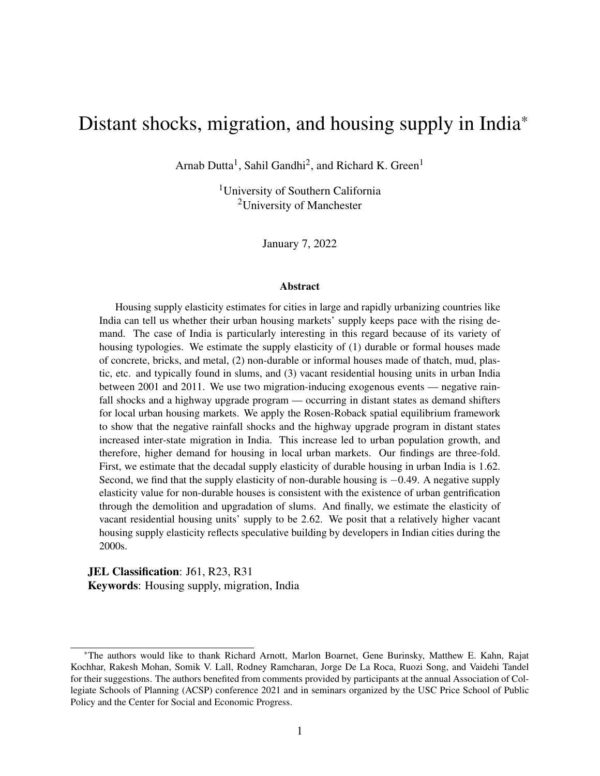We estimate three supply elasticity figures, one each for the three different types of urban housing units in our analysis — non-durable, durable, and vacant. As in section [6.2,](#page-32-0) we use *i* to denote the local region or urban areas of a district, and *j* to represent the distant region or states other than the one in which district *i* is located. We estimate the coefficients in equations  $(19)$ and [\(20\)](#page-26-1) with first difference models using data on *i*− *j* district-state pairs in India between 2001 and 2011. The results are presented in table [4.](#page-35-0)

In the first-stage regressions, we see that both the rainfall shocks and the GQ highway upgrade program at a distant state *j* had a strong positive effect on all three types of houses in district *i*. An additional month with rainfall levels less than 80% of the long-term average at *j* increased the demand for non-durable houses by 0.2%, durable houses by 2.1%, and vacant houses by 2.7% at *i*. The inclusion of state *j* in the GQ program led to a 2.7% higher demand for non-durable houses, 23% higher demand for durable houses, and 30% higher vacant houses in district *i*. These effects are consistent with results from tables [2](#page-31-0) and [3](#page-33-0) which show that the distant shocks increased inter-state migration and urbanization, therefore led to higher housing demand in the local region. These results empirically confirm proposition [1.](#page-18-1)

The second-stage results essentially provide the inverse supply elasticity estimates for urban India. First, we find that the inverse supply elasticity of housing of non-durable houses is −2.06 implying a decadal non-durable housing supply elasticity of −0.49. A negative value for housing supply elasticity is contrary to theory and empirical estimates of housing supply elasticities seen elsewhere in the literature. The negative elasticity of supply for non-durable houses indicates that a process of urban gentrification is underway in Indian cities. Gentrification occurs in two ways. On the one hand, a simultaneous increase in rents paid by slum dwellers and land values around slums attract real estate developers. Slums are cleared for the construction of durable residential and commercial real estate space [\(Bhan,](#page-44-1) [2009\)](#page-44-1). On the other hand, slums are upgraded through various government and non-government programs that convert non-durable units to durable ones [\(Rains and Krishna,](#page-48-3) [2020;](#page-48-3) [Rains](#page-48-4) *et al.*, [2019\)](#page-48-4).

Second, the inverse supply elasticity of durable houses is 0.62 implying a decadal elasticity of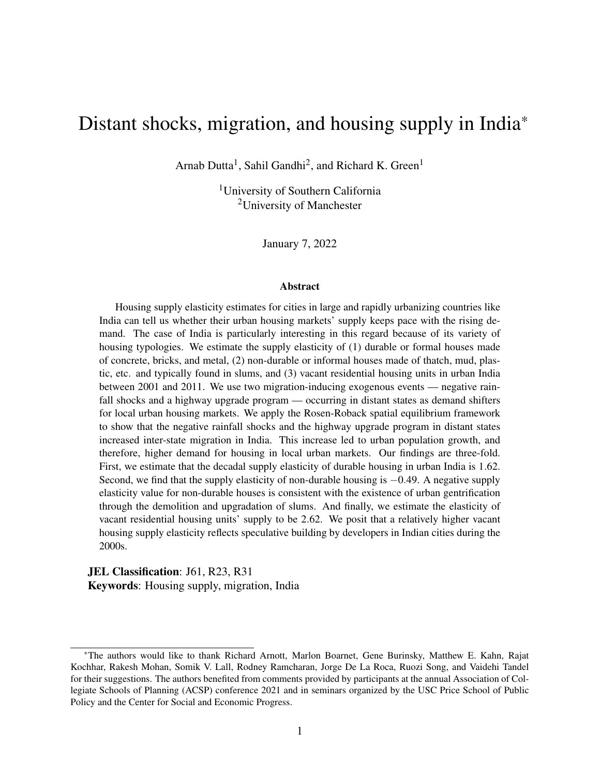supply of durable housing of  $1.62<sup>26</sup>$  $1.62<sup>26</sup>$  $1.62<sup>26</sup>$  This estimate is very close to the housing supply elasticity estimate of 1.75 for the average metropolitan area in the United States provided by [Saiz](#page-48-2) [\(2010\)](#page-48-2). In fact, our estimate is also within the estimated range of 1-3 for national housing supply elasticities proposed in the literature for the United States [\(Gyourko](#page-46-10) *et al.*, [2008\)](#page-46-10). This indicates that, housing markets in Indian cities during the 2000s responded at a pace similar to that in the United States during 1970-2000.

Third, the decadal supply elasticity of vacant housing units is 2.62, which is substantially higher than that of durable housing units. This is perhaps due to the fact that developers were engaged in speculative building during the 2000s. [Gandhi](#page-45-3) *et al.* [\(2021a\)](#page-45-3) argues that a large number of buyers were investing in home purchases during the 2000s to sell them at a later stage when prices would increase. Developers responded to such speculative demand-driven higher market prices by building more units. Hence, as prices went up, the number of vacant houses in markets with speculative buyers increased.

## <span id="page-37-0"></span>6.4 Robustness checks

In sections [6.1](#page-30-1) to [6.2,](#page-32-0) we discussed the effects of distant shock-induced inter-state migration on local urbanization and the resulting change in the local demand for housing. We used the distant state shocks as instruments. In section [6.3,](#page-34-0) we used the same shocks as demand shifters to estimate the supply elasticities of housing in local urban markets. In this section, we address two major identification concerns in our previous empirical estimation.

The first threat to the identification strategy is that the negative rainfall shocks and the Golden Quadrilateral (GQ) highway upgrade program at the distant state might have induced local labor supply effects in the construction industry, thereby affecting local construction wages. Hence, the distant state shocks would also have a local housing supply effect through changes in construction cost. This is particularly relevant in the Indian context since a large number of Indians migrate

 $26$ The regression sample used in table [4](#page-35-0) is restricted to the 144 districts for which we have rent data for all types of housing. Using the full sample of 339 districts for which we have durable rents, we estimate that the supply elasticity for durable units is 1.36, and the vacant housing supply elasticity is 1.78. We present these results in table [A.3.](#page-52-0)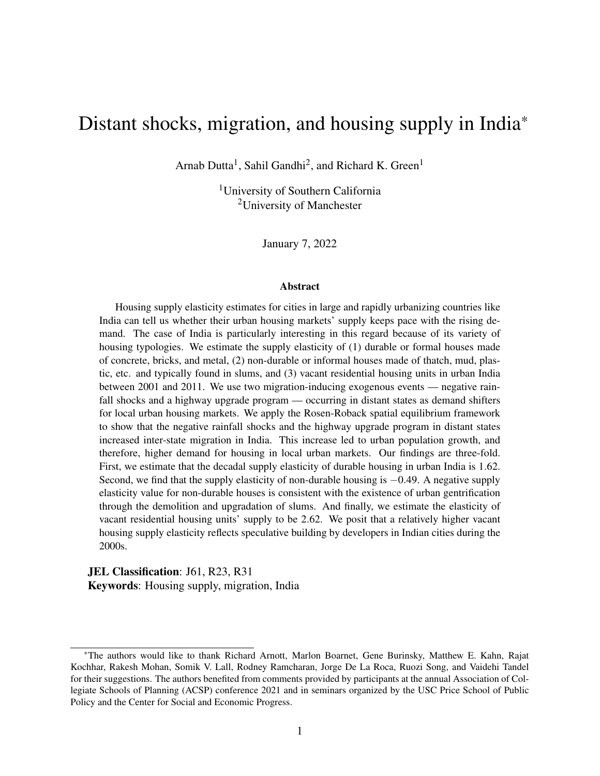for construction work. However, such migrant workers are more likely to move seasonally for one to six months before moving back to their homes. The National Sample Survey on migration and employment conducted in 2007-08 indicates that 36% of seasonal inter-state migrants move for construction work compared to only 1.5% of long-term inter-state migrants. Hence, if we eliminate short-run migrants from our analysis, we alleviate the endogeneity concern arising from the housing supply effects of distant state shocks. We address this by redefining the migration variables in equation [\(14\)](#page-22-0) to exclude short-run migrants who moved less than a year before the Census enumeration. The redefined migration variables  $m_{ij}$  and  $m_{ij}$  represent the number of individuals who moved during the previous 1-9 years. We present the results from these regressions in table [2.](#page-31-0)

As seen in table [2,](#page-31-0) the distant state's inclusion in the GQ highway upgrade program had a positive significant effect on both long-term migration from *j* to *i* and from *i* to *j*, albeit with a smaller magnitude of effect. A distant state's inclusion in the GQ program increased long-term migration from *j* to *i* by 22% and from *i* to *j* by 19%. However, contrary to table [2,](#page-31-0) here we see that the negative rainfall shock at *j* does not affect long-term outward mobility. Instead, the rainfall shocks in the distant state reduce long-term movement towards such regions. Even though different in magnitudes, these results still indicate that the distant state shocks impacted long-term migration, thereby affecting urbanization in the local state. Similar to table [2,](#page-31-0) here we see that 1% increase in long-term migration from *j* to *i* increased urbanization by 1.44% but out-migration from *i* had no impact on urbanization. The higher impact of long-term in-migration on urbanization is also consistent with long-term movers settling down and starting families of their own at their destinations.

The second identification issue is the spatial correlation of the shocks across state boundaries. [Bhavnani and Lacina](#page-44-0) [\(2017\)](#page-44-0) discusses the problem of spatial correlation of rainfall events across state boundaries and resolves the issue by controlling for rainfall at both the origin and destination of migrants. The GQ upgrade program across contiguous states might have also potentially affected housing supply if better contiguous-state road networks led to higher trading across neighboring states and, thus, reduced construction material prices. To alleviate these endogeneity concerns,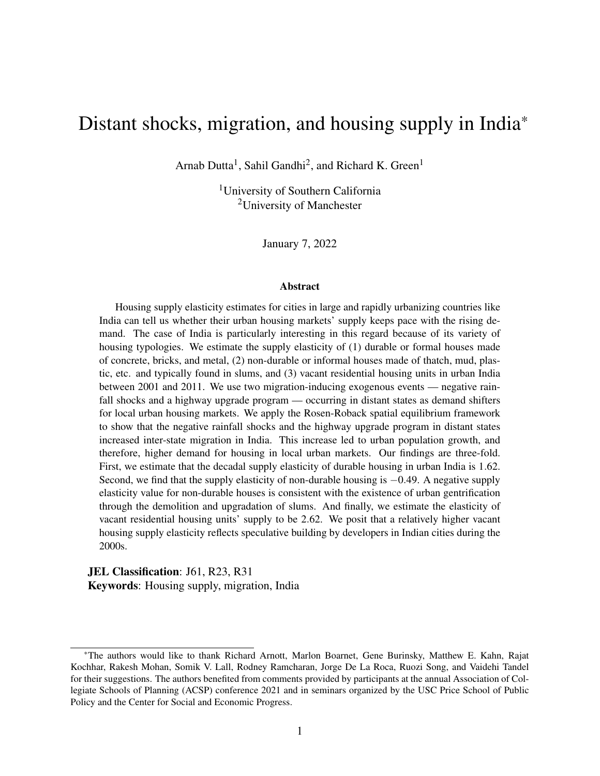|                                                          |                                                          | 2SLS                                                     |                                   |  |
|----------------------------------------------------------|----------------------------------------------------------|----------------------------------------------------------|-----------------------------------|--|
|                                                          |                                                          | First-stage                                              |                                   |  |
| $D = 2011 - 2001$                                        |                                                          | Dependent variable                                       |                                   |  |
|                                                          | Dlog migration 1-9 yrs. $\frac{1}{10}$ to $\frac{1}{10}$ | Dlog migration 1-9 yrs. $\frac{1}{10}$ to $\frac{1}{10}$ | Dlog urban population at <i>i</i> |  |
|                                                          | (1)                                                      | (2)                                                      | (3)                               |  |
| Dlog migration 1-9 yrs. $\frac{1}{10}$ to $\frac{1}{10}$ |                                                          |                                                          | $1.44***$                         |  |
|                                                          |                                                          |                                                          | (0.390)                           |  |
| Dlog migration 1-9 yrs. $\frac{1}{10}$ to $\frac{1}{10}$ |                                                          |                                                          | $-0.630$                          |  |
|                                                          |                                                          |                                                          | (0.472)                           |  |
| D#months rainfall $< 80\%$ last decade at j              | 0.005                                                    | $-0.007**$                                               |                                   |  |
|                                                          | (0.003)                                                  | (0.003)                                                  |                                   |  |
| GQ highway dummy at /                                    | $0.217***$                                               | $0.189***$                                               |                                   |  |
|                                                          | (0.041)                                                  | (0.045)                                                  |                                   |  |
| Dlog consumption at /                                    | $-0.198$                                                 | $-0.297$                                                 | 0.265                             |  |
|                                                          | (0.148)                                                  | (0.220)                                                  | (0.272)                           |  |
| D urban surface area at <i>i</i>                         | $-0.002$                                                 | $0.206***$                                               | $0.235**$                         |  |
|                                                          | (0.028)                                                  | (0.035)                                                  | (0.104)                           |  |
| D urban surface area squared at <i>i</i>                 | $0.009***$                                               | $-0.014***$                                              | $-0.028***$                       |  |
|                                                          | (0.002)                                                  | (0.003)                                                  | (0.010)                           |  |
| F-stat on excluded instruments                           | $16.5***$                                                | $10.6***$                                                |                                   |  |
| Anderson-Rubin Wald $c^2(2)$                             |                                                          |                                                          | $251***$                          |  |
| $\mathbf N$                                              | 1,013                                                    | 1,013                                                    | 1,013                             |  |
| Adj. R-sq                                                | 0.126                                                    | 0.083                                                    |                                   |  |

#### Table 5: Distant shock-induced long-term migration and local urbanization

*Source*: Authors' calculations.

*Note*: Table presents results from two-stage least squares regression of the log difference of urban population in state *i* on endogenous variables – log differences of in- and out-migration in the previous 1-9 years between state *i* and other states *j*. State *i* is the local region and state *j* is the distant region. There are 1,013 *i*− *j* state pairs consisting of the 35 states and union territories in India. The log differences are calculated as first differences of log values between the years 2001 and 2011. The log differences of in- and out-migration are instrumented by the decadal change in the number of months when rainfall was less than 80% of the long-term normal in state *j*, and a dummy variable equal to one if state *j* was recipient of the Golden Quadrilateral highway upgrade program. The first-stage regression coefficients are given in columns (1) and (2) and the second-stage results are given in column (3). Other variables in the regressions include log difference in state-level mean per capita consumption at *i*, and changes in the urban surface area and the urban surface area squared at *i*. Diagnostics reported are the F-test of excluded instruments' joint significance and the Anderson-Rubin Wald chi-square test of significance of endogenous regressors. Urban surface area unit is in 1000 sq. miles. Robust standard errors in parentheses. \*  $p < 0.10$ , \*\*  $p < 0.05$ , \*\*\*  $p < 0.01$ .

we run regressions using equations [\(14\)](#page-22-0) and [\(15\)](#page-22-1), but restricting the universe of shocks  $z_j$  to include only those that occurred in non-contiguous distant states. We present the results from these regressions in table [6.](#page-40-0)

The coefficient estimates in table [6](#page-40-0) are very similar in magnitude to those seen in table [2.](#page-31-0) Every additional month of rainfall levels below 80% of long-term normal in distant non-contiguous states increased migration from such states by 1%. A distant non-contiguous state's inclusion in the GQ program increased migration from such states by 29% and to such states by 22%. Just as in table [2,](#page-31-0) in-migration led to a positive significant impact on urbanization, whereas out-migration had no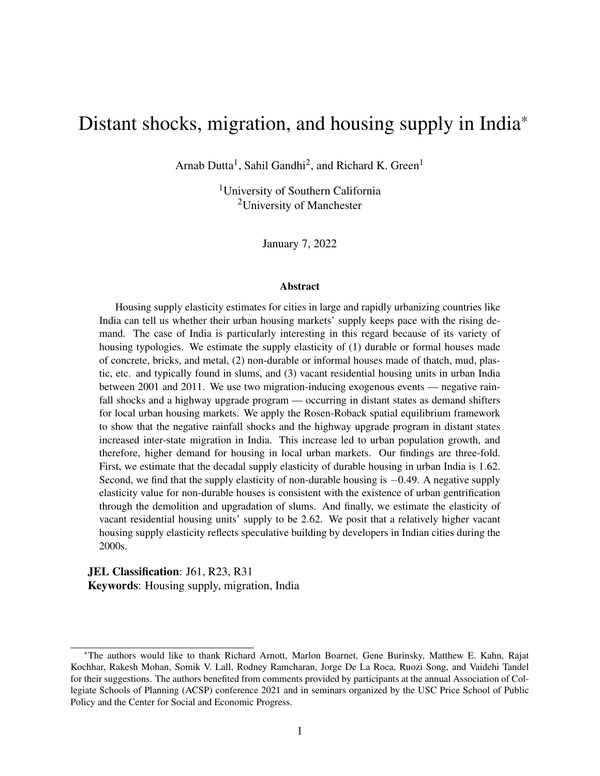<span id="page-40-0"></span>

|                                              |                                                          | 2SLS                                                     |                            |  |
|----------------------------------------------|----------------------------------------------------------|----------------------------------------------------------|----------------------------|--|
|                                              |                                                          | First-stage                                              |                            |  |
| $D = 2011 - 2001$                            |                                                          | Dependent variable                                       |                            |  |
|                                              | Dlog migration 0-9 yrs. $\frac{1}{10}$ to $\frac{1}{10}$ | Dlog migration 0-9 yrs. $\dot{\imath}$ to $\dot{\jmath}$ | Dlog urban population at / |  |
|                                              | (1)                                                      | (2)                                                      | (3)                        |  |
| Dlog migration 0-9 yrs. <i>j</i> to <i>i</i> |                                                          |                                                          | $1.03***$                  |  |
|                                              |                                                          |                                                          | (0.261)                    |  |
| Dlog migration 0-9 yrs. $i$ to $j$           |                                                          |                                                          | $-0.428$                   |  |
|                                              |                                                          |                                                          | (0.424)                    |  |
| D#months rainfall $< 80\%$ last decade at j  | $0.010***$                                               | $-0.003$                                                 |                            |  |
|                                              | (0.004)                                                  | (0.003)                                                  |                            |  |
| GQ highway dummy at /                        | $0.288***$                                               | $0.216***$                                               |                            |  |
|                                              | (0.047)                                                  | (0.051)                                                  |                            |  |
| Dlog consumption at <i>i</i>                 | $-0.276$                                                 | $-0.048$                                                 | $0.473**$                  |  |
|                                              | (0.168)                                                  | (0.246)                                                  | (0.189)                    |  |
| D urban surface area at <i>i</i>             | 0.025                                                    | $0.230***$                                               | $0.174*$                   |  |
|                                              | (0.031)                                                  | (0.039)                                                  | (0.096)                    |  |
| D urban surface area squared at <i>i</i>     | $0.008***$                                               | $-0.016***$                                              | $-0.021**$                 |  |
|                                              | (0.003)                                                  | (0.003)                                                  | (0.009)                    |  |
| F-stat on excluded instruments               | $26.2***$                                                | 9.01***                                                  |                            |  |
| Anderson-Rubin Wald $c^2(2)$                 |                                                          |                                                          | $241***$                   |  |
| N                                            | 908                                                      | 908                                                      | 908                        |  |
| Adj. R-sq                                    | 0.163                                                    | 0.108                                                    |                            |  |

#### Table 6: Distant non-contiguous states' shock-induced migration and local urbanization

*Source*: Authors' calculations.

*Note*: Table presents results from two-stage least squares regression of the log difference of urban population in state *i* on endogenous variables – log differences of in- and out-migration in the previous decade between state *i* and other non-contiguous states *j*. State *i* is the local region and state *j* is the distant region and it represents every other state that is non-contiguous to state *i*. There are 908 non-contiguous *i*− *j* state pairs consisting of the 35 states and union territories in India. The log differences are calculated as first differences of log values between the years 2001 and 2011. The log differences of in- and out-migration are instrumented by the decadal change in the number of months when rainfall was less than 80% of the long-term normal in state *j*, and a dummy variable equal to one if state *j* was recipient of the Golden Quadrilateral highway upgrade program. The first-stage regression coefficients are given in columns (1) and (2) and the second-stage results are given in column (3). Other variables in the regressions include log difference in state-level mean per capita consumption at *i*, and changes in the urban surface area and the urban surface area squared at *i*. Diagnostics reported are the F-test of excluded instruments' joint significance and the Anderson-Rubin Wald chi-square test of significance of endogenous regressors. Urban surface area unit is in 1000 sq. miles. Robust standard errors in parentheses. \*  $p < 0.10$ , \*\*  $p < 0.05$ , \*\*\*  $p < 0.01$ .

impact.

While these results are similar in magnitude to those seen in table [2,](#page-31-0) one contentious issue is that the instruments for migration from *i* to *j* do not pass the F-test criterion for strong IVs. This indicates that the instruments are weak for out-migration from *i* to *j*, and the estimates presented in table [6](#page-40-0) could be biased. This is not an unexpected finding, given that the strength of noncontiguous states' shocks in explaining migration could be significantly weaker than when we consider shocks that occur in contiguous states as well. However, the F-stat in column (2) of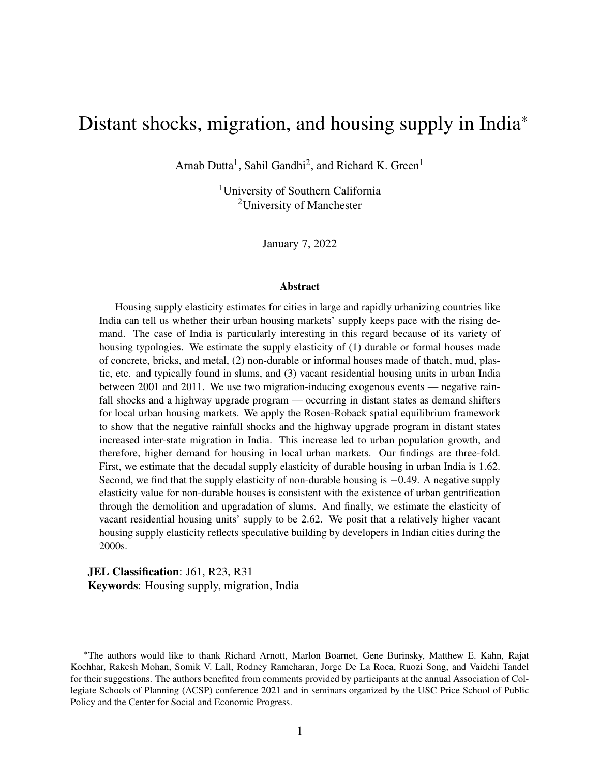table [6](#page-40-0) misses the strong IV criterion marginally. Therefore, even if the weak instruments bias our estimates, such a bias wouldn't significantly alter the estimates seen in table [6.](#page-40-0) Moreover, our results from previous sections and this one suggest that the local housing demand shock from distant events (contiguous or not) is primarily through migration from *j* to *i* rather than from *i* to *j*. This is because migration from *i* to *j* has no impact on the local urban population, whereas migration from *j* to *i* causes urbanization at *i*. As long as the latter holds true, we need not worry about the weak instrument problem in our supply estimation exercise. This is confirmed by the fact that both the negative rainfall shocks and the highway upgrade program at distant non-contiguous states are strong instruments for the number of housing units in the local region (see table [A.4\)](#page-53-0).

### 6.5 State-level Elasticities

The previous section [6.3](#page-34-0) discussed housing supply elasticity estimates at the national level in urban India. However, to get a sense of spatial heterogeneity in these housing supply elasticity estimates, we also provide some state-level elasticity figures for durable housing units. We do this by exploiting district-level variation within a state for 12 of the largest states in India.<sup>[27](#page-0-0)</sup> We run these regressions using only durable rent figures since data on non-durable rent is not available for enough districts to run regressions even in the largest states.<sup>[28](#page-0-0)</sup> The durable housing supply elasticities for urban areas in the 12 states are reported in table [7.](#page-42-0)

Among the reported states, Maharashtra has the highest durable housing supply elasticity with a value of 3.06. For reference, Maharashtra's supply elasticity is very similar to that of Austin in the United States [\(Saiz,](#page-48-2) [2010\)](#page-48-2). Bihar and West Bengal have the lowest durable housing supply elasticities, with values of 0.49 and 0.38, respectively. These long-run elasticity values are lower than the United States' least supply elastic MSAs: Miami and Los Angeles-Long Beach.

<span id="page-41-0"></span><sup>&</sup>lt;sup>27</sup>We report the 12 states in which at least 14 districts reported a durable rent figure for both years.

 $^{28}$ For instance, Uttar Pradesh, the largest state in India, reports non-durable rents for only 5 districts.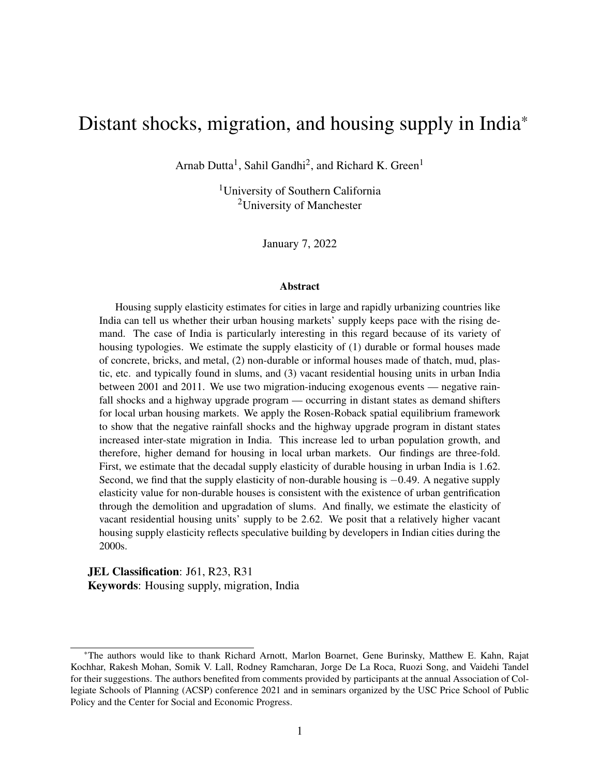<span id="page-42-0"></span>

| <b>State</b>         | Urban population (mil.) | Durable elasticity | Comparable US MSAs (Saiz, 2010) |
|----------------------|-------------------------|--------------------|---------------------------------|
| Maharashtra          | 51                      | 3.06               | Austin, TX                      |
| Odisha               | 7                       | 2.05               | Mobile, AL                      |
| Tamil Nadu           | 35                      | 1.92               | Fresno, CA                      |
| Andhra Pradesh       | 28                      | 1.63               | Phoenix, AZ                     |
| Gujarat              | 26                      | 1.31               | Las Vegas, NV                   |
| Madhya Pradesh       | 20                      | 1.25               | Detroit, MI                     |
| <b>Uttar Pradesh</b> | 44                      | 1.17               | Newark, NJ                      |
| Rajasthan            | 17                      | 1.06               | Jacksonville, FL                |
| Karnataka            | 24                      | 0.75               | New York, NY                    |
| Haryana              | 9                       | 0.54               | Miami, FL                       |
| Bihar                | 12                      | 0.49               |                                 |
| West Bengal          | 29                      | 0.38               |                                 |

Table 7: State-level Elasticity of Housing Supply

*Source*: Authors' calculations.

*Note*: All reported states have observations on durable housing rents and quantities for at least 14 districts. States arranged in decreasing order of elasticity values. All elasticity values rounded off to two decimal places. Last column shows MSAs in the United States that have comparable housing supply elasticities. There are no metropolitan areas in the United States with elasticity figures comparable to Bihar and West Bengal. Miami is the least supply elastic MSA in the United States with an elasticity value of 0.6.

# 7 Conclusion

According to the United Nations, developing countries in Africa and South Asia are set to experience the next wave of urbanization [\(United-Nations,](#page-49-8) [2018\)](#page-49-8). India will be one of the largest contributors to this growth. But, academic literature on housing in India is sparse. We fill this gap by estimating the supply elasticity of housing in urban India. We apply the Rosen-Roback spatial equilibrium framework to estimate the effect of distant state shock-induced migration on local urbanization and housing demand in local urban markets. We use a distant state's rainfall shocks and a highway upgrade program implementation status as demand shifters to estimate the supply elasticity of local urban housing markets.

We begin by presenting some stylized facts on housing and migration in India. Next, we discuss the underlying theoretical framework, followed by a discussion of the empirical implementation of the model mechanisms. Then we discuss the empirical results and robustness checks. We find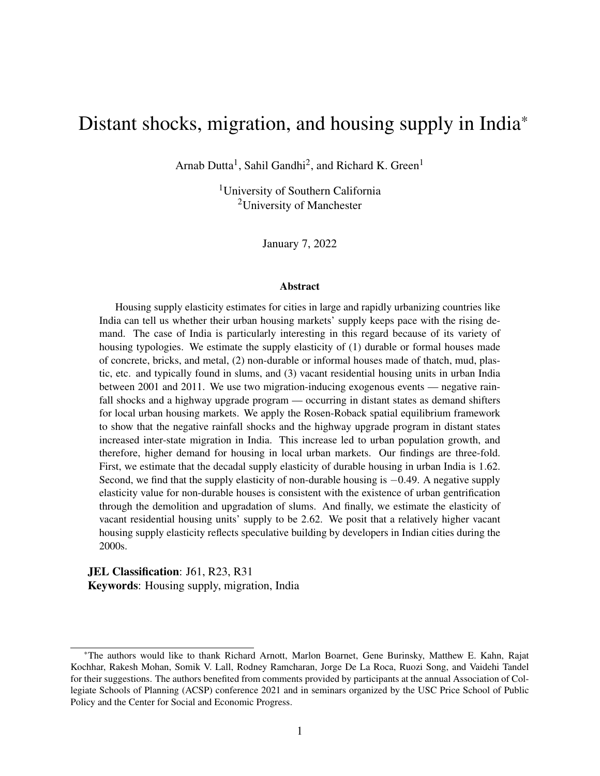that both the negative rainfall shocks and the highway upgrade implementation at the distant state induce inter-state migration, thereby inducing local urbanization and the demand for local urban housing. We estimate national-level housing supply elasticity figures for urban India's durable, non-durable, and vacant residential housing units.

While national-level housing supply elasticity estimates do not paint an accurate picture of metropolitan-level elasticities and the underlying heterogeneity across metropolitan areas of different sizes and regulations, it is a relevant parametric estimate in the context of a large, urbanizing country. Further research with metropolitan-level price and new construction data would be required to provide granular estimates.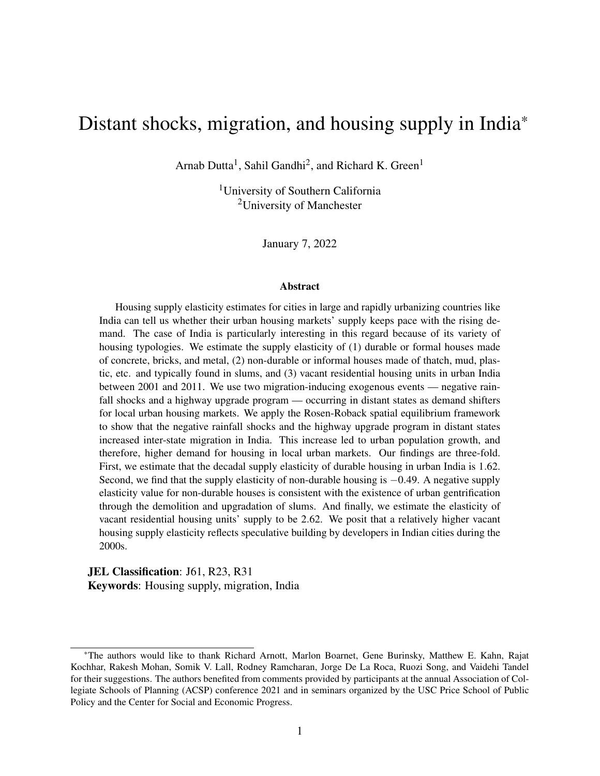# References

- <span id="page-44-8"></span>Abeberese, A. B. and Chen, M. (2021) Intranational trade costs, product scope and productivity: Evidence from India's Golden Quadrilateral project, *Journal of Development Economics*, p. 102791.
- <span id="page-44-4"></span>Accetturo, A., Lamorgese, A., Mocetti, S. and Pellegrino, D. (2021) Housing supply elasticity and growth: Evidence from Italian cities, *Journal of Economic Geography*, 21, 367–396.
- <span id="page-44-9"></span>Bartik, T. J. (1993) Who benefits from local job growth: migrants or the original residents?, *Regional studies*, 27, 297–311.
- <span id="page-44-2"></span>Baum-Snow, N. and Han, L. (2019) The microgeography of housing supply, *Work in progress, University of Toronto*.
- <span id="page-44-5"></span>Bertaud, A. and Brueckner, J. K. (2005) Analyzing building-height restrictions: predicted impacts and welfare costs, *Regional Science and Urban Economics*, 35, 109–125.
- <span id="page-44-1"></span>Bhan, G. (2009) "This is no longer the city I once knew". Evictions, the urban poor and the right to the city in millennial Delhi, *Environment and Urbanization*, 21, 127–142.
- <span id="page-44-0"></span>Bhavnani, R. R. and Lacina, B. (2017) Fiscal federalism at work? Central responses to internal migration in India, *World Development*, 93, 236–248.
- <span id="page-44-3"></span>Boustan, L. P. (2010) Was postwar suburbanization "white flight"? Evidence from the black migration, *The Quarterly Journal of Economics*, 125, 417–443.
- <span id="page-44-7"></span>Brueckner, J. K. and Selod, H. (2009) A theory of urban squatting and land-tenure formalization in developing countries, *American Economic Journal: Economic Policy*, 1, 28–51.
- <span id="page-44-6"></span>Brueckner, J. K. and Sridhar, K. S. (2012) Measuring welfare gains from relaxation of land-use restrictions: The case of India's building-height limits, *Regional Science and Urban Economics*, 42, 1061–1067.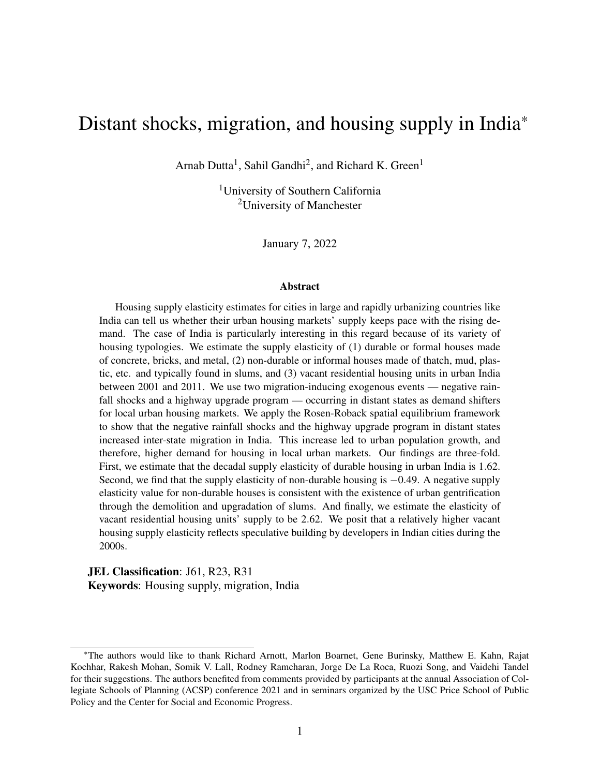- <span id="page-45-9"></span>Brueckner, J. K. *et al.* (1987) The structure of urban equilibria: A unified treatment of the Muth-Mills model, *Handbook of Regional and Urban Economics*, 2, 821–845.
- <span id="page-45-0"></span>Census of India, P. (2011) *Census of India 2011 Provisional Population Totals*, Office of the Registrar General and Census Commissioner New Delhi.
- <span id="page-45-1"></span>Desa, U. *et al.* (2014) World urbanization prospects, the 2011 revision, *Population Division, Department of Economic and Social Affairs, United Nations Secretariat*.
- <span id="page-45-4"></span>Diamond, R. (2017) Housing supply elasticity and rent extraction by state and local governments, *American Economic Journal: Economic Policy*, 9, 74–111.
- <span id="page-45-8"></span>Dutta, A., Green, R. K., Panchapagesan, V. and Venkataraman, M. (2021) Are move-in ready properties more expensive?, *Available at SSRN 3851745*.
- <span id="page-45-10"></span>Elisseeff, V. (2000) *The silk roads: Highways of culture and commerce*, Berghahn Books.
- <span id="page-45-3"></span>Gandhi, S., Green, R. K. and Patranabis, S. (2021a) India's housing vacancy paradox: How rent control and weak contract enforcement produce unoccupied units and a housing shortage at the same time, *CSEP Working Paper*.
- <span id="page-45-6"></span>Gandhi, S., Tandel, V., Tabarrok, A. and Ravi, S. (2021b) Too slow for the urban march: Litigations and the real estate market in Mumbai, India, *Journal of Urban Economics*, 123, 103330.
- <span id="page-45-7"></span>Ghani, E., Goswami, A. G. and Kerr, W. R. (2016) Highway to success: The impact of the Golden Quadrilateral project for the location and performance of Indian manufacturing, *The Economic Journal*, 126, 317–357.
- <span id="page-45-2"></span>Ghose, D. (2019) Trade, Internal Migration, and Human Capital: Who Gains from India's IT Boom?
- <span id="page-45-5"></span>Glaeser, E. L., Gyourko, J. and Saks, R. (2005) Why is Manhattan so expensive? Regulation and the rise in housing prices, *The Journal of Law and Economics*, 48, 331–369.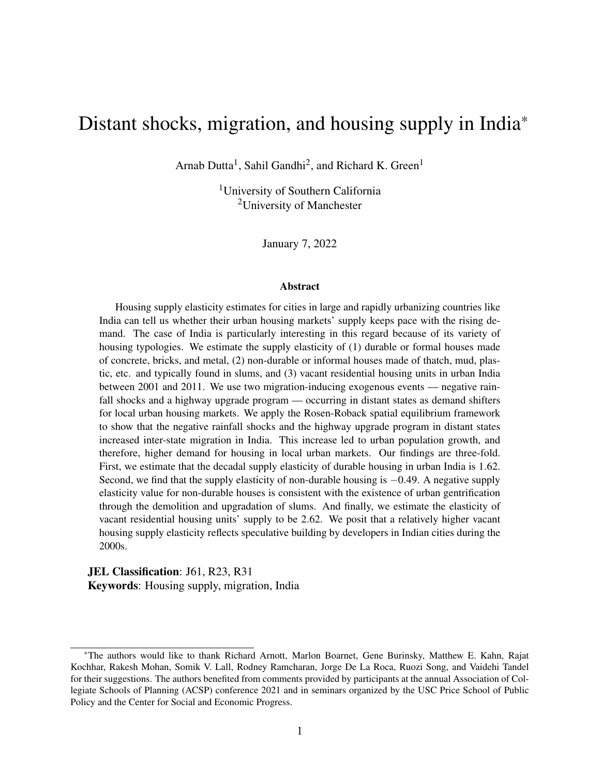- <span id="page-46-1"></span>Green, R. K., Malpezzi, S. and Mayo, S. K. (2005) Metropolitan-specific estimates of the price elasticity of supply of housing, and their sources, *American Economic Review*, 95, 334–339.
- <span id="page-46-10"></span>Gyourko, J., Saiz, A. and Summers, A. (2008) A new measure of the local regulatory environment for housing markets: The Wharton Residential Land Use Regulatory Index, *Urban Studies*, 45, 693–729.
- <span id="page-46-7"></span>Harari, M. (2020) Cities in bad shape: Urban geometry in India, *American Economic Review*, 110, 2377–2421.
- <span id="page-46-9"></span>Harris, J. R. and Todaro, M. P. (1970) Migration, unemployment and development: a two-sector analysis, *The American Economic Review*, 60, 126–142.
- <span id="page-46-2"></span>Henderson, J. V., Regan, T. and Venables, A. J. (2021) Building the city: from slums to a modern metropolis, *The Review of Economic Studies*, 88, 1157–1192.
- <span id="page-46-5"></span>Imbert, C. and Papp, J. (2015) Labor market effects of social programs: Evidence from india's employment guarantee, *American Economic Journal: Applied Economics*, 7, 233–63.
- <span id="page-46-6"></span>Imbert, C. and Papp, J. (2020) Short-term migration, rural public works, and urban labor markets: Evidence from India, *Journal of the European Economic Association*, 18, 927–963.
- <span id="page-46-3"></span>India Meteorological Department, P. (1901-2017) *India Meteorological Department Rainfall Datasets*, http://www.imd.gov.in.
- <span id="page-46-8"></span>Jayachandran, S. (2006) Selling labor low: Wage responses to productivity shocks in developing countries, *Journal of Political Economy*, 114, 538–575.
- <span id="page-46-0"></span>Kone, Z. L., Liu, M. Y., Mattoo, A., Ozden, C. and Sharma, S. (2018) Internal borders and migration in India, *Journal of Economic Geography*, 18, 729–759.
- <span id="page-46-4"></span>Labor Bureau of India, D. (2001-2012) *Consumer Price Index Series*, http://www.labourbureau.gov.in/.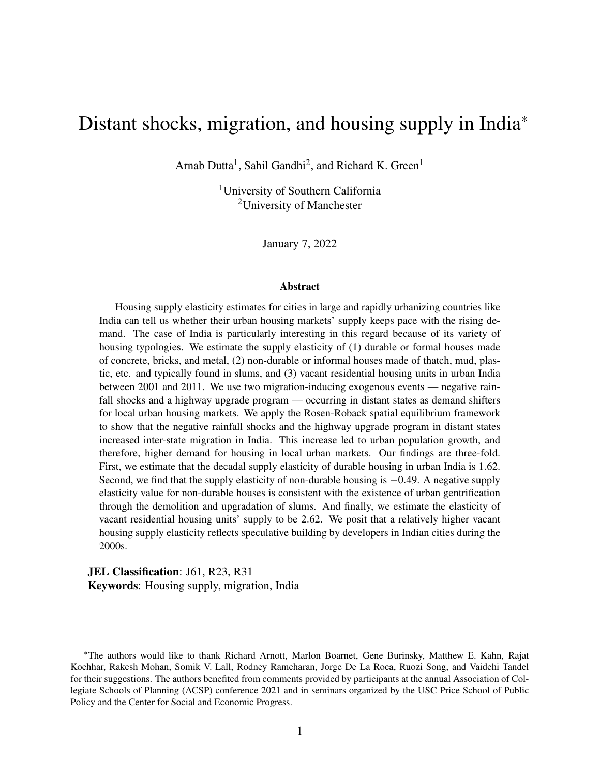- <span id="page-47-4"></span>Malpezzi, S. and Maclennan, D. (2001) The long-run price elasticity of supply of new residential construction in the United States and the United Kingdom, *Journal of Housing Economics*, 10, 278–306.
- <span id="page-47-5"></span>Marx, B., Stoker, T. and Suri, T. (2013) The economics of slums in the developing world, *Journal of Economic perspectives*, 27, 187–210.
- <span id="page-47-3"></span>McLaughlin, R. B. (2012) New housing supply elasticity in Australia: a comparison of dwelling types, *The Annals of Regional Science*, 48, 595–618.
- <span id="page-47-9"></span>Mills, E. S. (1967) An aggregative model of resource allocation in a metropolitan area, *The American Economic Review*, 57, 197–210.
- <span id="page-47-8"></span>Mitra, A. (2010) Migration, livelihood and well-being: Evidence from indian city slums, *Urban Studies*, 47, 1371–1390.
- <span id="page-47-1"></span>Molloy, R., Smith, C. L. and Wozniak, A. (2011) Internal migration in the United States, *Journal of Economic Perspectives*, 25, 173–96.
- <span id="page-47-10"></span>Morten, M. (2019) Temporary migration and endogenous risk sharing in village India, *Journal of Political Economy*, 127, 1–46.
- <span id="page-47-0"></span>Munshi, K. and Rosenzweig, M. (2016) Networks and misallocation: Insurance, migration, and the rural-urban wage gap, *American Economic Review*, 106, 46–98.
- <span id="page-47-7"></span>National Sample Survey Organization, I. (1999-2012) *Indian National Sample Surveys, Rounds 55, 58, 66, and 69*, http://mospi.nic.in.
- <span id="page-47-6"></span>Niu, D., Sun, W. and Zheng, S. (2021) The role of informal housing in lowering China's urbanization costs, *Regional Science and Urban Economics*, p. 103638.
- <span id="page-47-2"></span>Paciorek, A. (2013) Supply constraints and housing market dynamics, *Journal of Urban Economics*, 77, 11–26.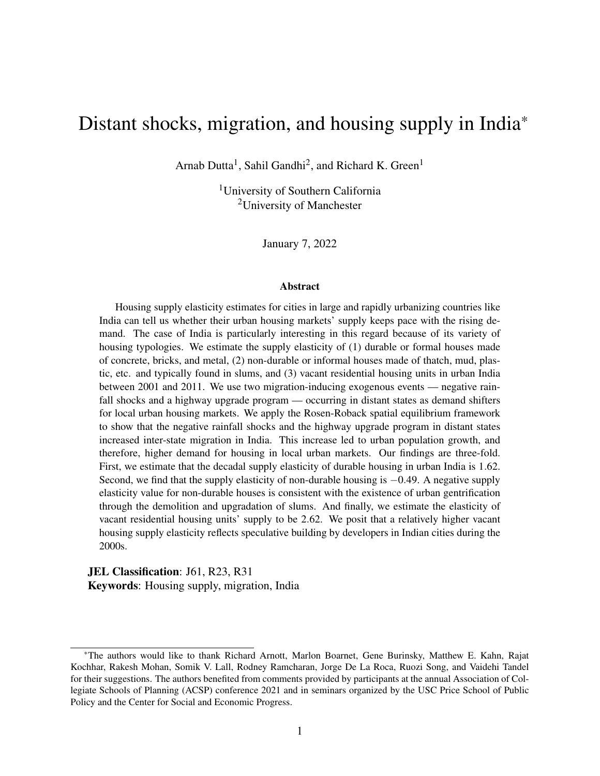- <span id="page-48-7"></span>Poterba, J. M. (1984) Tax subsidies to owner-occupied housing: an asset-market approach, *The Quarterly Journal of Economics*, 99, 729–752.
- <span id="page-48-5"></span>Quigley, J. M. and Raphael, S. (2005) Regulation and the high cost of housing in California, *American Economic Review*, 95, 323–328.
- <span id="page-48-3"></span>Rains, E. and Krishna, A. (2020) Precarious gains: Social mobility and volatility in urban slums, *World Development*, 132, 105001.
- <span id="page-48-4"></span>Rains, E., Krishna, A. and Wibbels, E. (2019) Combining satellite and survey data to study indian slums: Evidence on the range of conditions and implications for urban policy, *Environment and Urbanization*, 31, 267–292.
- <span id="page-48-0"></span>Roback, J. (1982) Wages, rents, and the quality of life, *Journal of Political Economy*, 90, 1257– 1278.
- <span id="page-48-1"></span>Rosen, S. (1979) Wage-based indexes of urban quality of life, *Current Issues in Urban Economics*, pp. 74–104.
- <span id="page-48-6"></span>Rosenzweig, M. R. and Udry, C. (2014) Rainfall forecasts, weather, and wages over the agricultural production cycle, *American Economic Review*, 104, 278–83.
- <span id="page-48-2"></span>Saiz, A. (2010) The geographic determinants of housing supply, *The Quarterly Journal of Economics*, 125, 1253–1296.
- <span id="page-48-8"></span>Saks, R. E. and Wozniak, A. (2011) Labor reallocation over the business cycle: New evidence from internal migration, *Journal of Labor Economics*, 29, 697–739.
- <span id="page-48-9"></span>Sarsons, H. (2015) Rainfall and conflict: A cautionary tale, *Journal of Development Economics*, 115, 62–72.
- <span id="page-48-10"></span>Sekhri, S. and Storeygard, A. (2014) Dowry deaths: Response to weather variability in India, *Journal of Development economics*, 111, 212–223.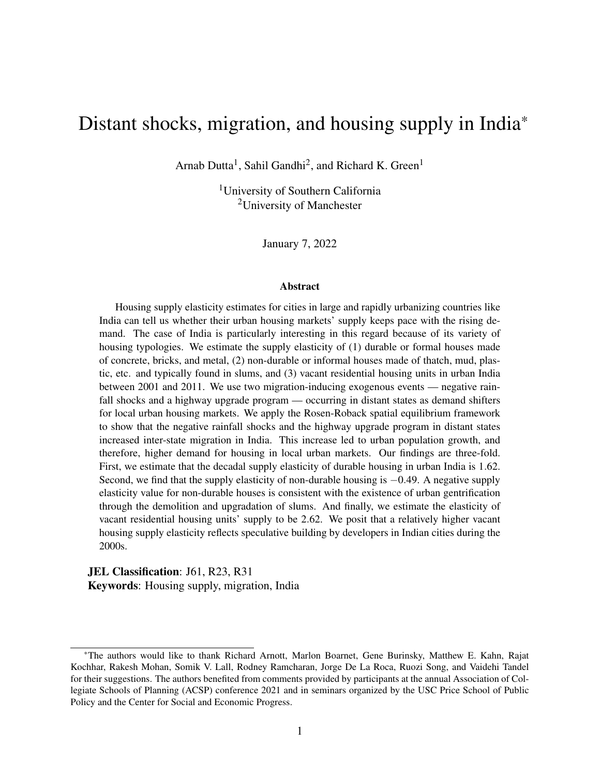- <span id="page-49-2"></span>Sridhar, K. S. (2010) Impact of land use regulations: Evidence from India's cities, *Urban Studies*, 47, 1541–1569.
- <span id="page-49-5"></span>Srivastava, R. (2011) Internal migration in india, *Human Development in India*.
- <span id="page-49-7"></span>Thapar, R. (2015) *The Penguin history of early India: from the origins to AD 1300*, Penguin UK.
- <span id="page-49-3"></span>Tiwari, P. and Parikh, J. (1998) Affordability, housing demand and housing policy in urban India, *Urban Studies*, 35, 2111–2129.
- <span id="page-49-4"></span>Tiwari, P., Parikh, K. and Parikh, J. (1999) Effective housing demand in Mumbai (Bombay) metropolitan region, *Urban Studies*, 36, 1783–1809.
- <span id="page-49-6"></span>Todaro, M. P. (1969) A model of labor migration and urban unemployment in less developed countries, *The American Economic Review*, 59, 138–148.
- <span id="page-49-8"></span>United-Nations (2018) World Urbanization Prospects: The 2018 Revision.
- <span id="page-49-1"></span>Wang, S., Chan, S. H. and Xu, B. (2012) The estimation and determinants of the price elasticity of housing supply: Evidence from China, *Journal of Real Estate Research*, 34, 311–344.
- <span id="page-49-0"></span>Zabel, J. E. (2012) Migration, housing market, and labor market responses to employment shocks, *Journal of Urban Economics*, 72, 267–284.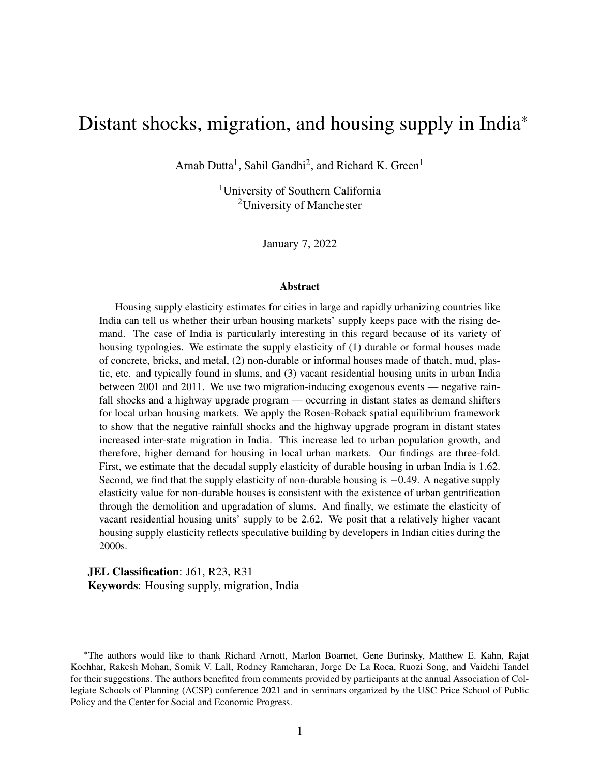# Appendix

<span id="page-50-0"></span>

|                              | First-difference   |
|------------------------------|--------------------|
| $D = 2011 - 2001$            | Dependent variable |
|                              | Dlog price         |
|                              | (1)                |
| GQ highway dummy             | 0.041              |
|                              | (0.040)            |
| Dlog weekly wage             | $-0.015$           |
|                              | (0.114)            |
| Dlog urban population        | $-0.269***$        |
|                              | (0.062)            |
| D urban surface area         | $-0.025$           |
|                              | (0.027)            |
| D urban surface area squared | $-0.000$           |
|                              | (0.002)            |
| N                            | 33                 |
| Adj. R-sq                    | 0.437              |

# Table A.1: Impact of Golden Quadrilateral on urban commodity prices

*Source*: Authors' calculations.

*Note*: Table presents results from a first-difference regression of the log difference of urban commodity prices in a state on the Golden Quadrilateral (GQ) highway dummy, the log differences of weekly wage earning in urban areas and the urban population, and changes in the urban surface area and the urban surface area squared. The differences are calculated as first differences of values between the years 2001 and 2011. Commodity prices for a given state are calculated by first obtaining the prices of non-housing commodity baskets in the state's urban areas, then multiplying the computed prices with the national average of each basket consumed by urban households between 2001 and 2011, and finally adding the products for all baskets. The GQ highway upgrade dummy is equal to one if a state was a recipient of the GQ program program. Urban surface area unit is in 1000 sq. miles. Robust standard errors in parentheses. \*  $p < 0.10$ , \*\*  $p < 0.05$ , \*\*\*  $p < 0.01$ .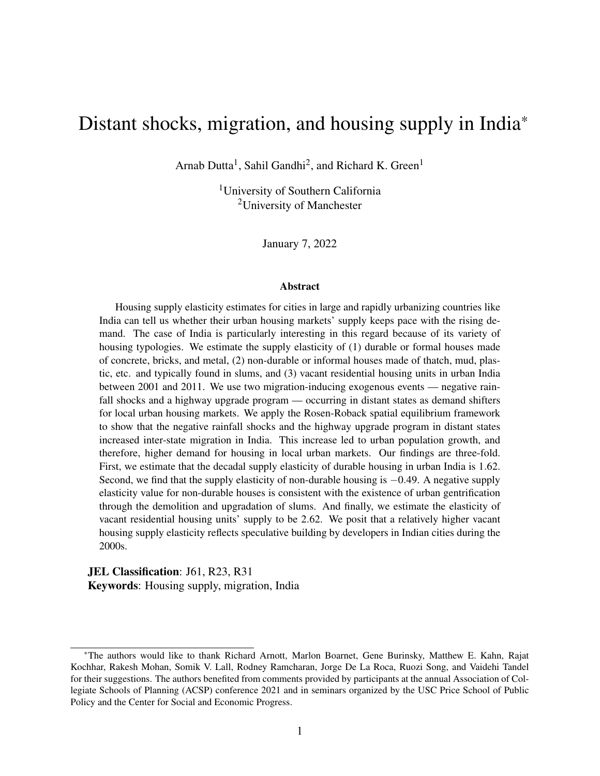|                                          |                            | 2SLS                        |                                |                               |
|------------------------------------------|----------------------------|-----------------------------|--------------------------------|-------------------------------|
|                                          | First-stage                |                             | Second-stage                   |                               |
| $D = 2011 - 2001$                        |                            | Dependent variable          |                                |                               |
|                                          | Dlog urban population at / | Dlog non-durable units at / | Dlog durable units at <i>i</i> | Dlog vacant units at <i>i</i> |
|                                          | (1)                        | (2)                         | (3)                            | (4)                           |
| Dlog urban population at /               |                            | $0.205***$                  | 1.86***                        | $2.41***$                     |
|                                          |                            | (0.025)                     | (0.026)                        | (0.034)                       |
| D#months rainfall $< 80\%$ at j          | $0.011***$                 |                             |                                |                               |
|                                          | (0.000)                    |                             |                                |                               |
| GQ highway dummy at j                    | $0.124***$                 |                             |                                |                               |
|                                          | (0.005)                    |                             |                                |                               |
| Dlog consumption at /                    | 0.009                      | $-0.197***$                 | $0.037**$                      | $-0.203***$                   |
|                                          | (0.013)                    | (0.014)                     | (0.018)                        | (0.020)                       |
| D urban surface area at <i>i</i>         | $5.12***$                  | $0.824***$                  | $-1.54***$                     | $-2.82***$                    |
|                                          | (0.202)                    | (0.220)                     | (0.226)                        | (0.316)                       |
| D urban surface area squared at <i>i</i> | $-5.53***$                 | $-1.84***$                  | $1.24***$                      | $1.03**$                      |
|                                          | (0.418)                    | (0.348)                     | (0.310)                        | (0.463)                       |
| F-stat on excluded instruments           | $1018***$                  |                             |                                |                               |
| Anderson-Rubin Wald $c^2(2)$             |                            | 54.8***                     | 3402***                        | 2495***                       |
| Sargan-Hansen J-stat p-value             |                            | 0.708                       | 0.420                          | 0.968                         |
| $\mathbf N$                              | 4,896                      | 4,896                       | 4,896                          | 4,896                         |
| Adj. R-sq                                | 0.603                      |                             |                                |                               |

### <span id="page-51-0"></span>Table A.2: Distant shock-induced local urbanization and housing demand without median rooms as <sup>a</sup> control

*Source*: Authors' calculations.

Note: Table presents results from two-stage least squares regressions of the log differences of three types of residential housing units in district *i* – non-durable, durable, and vacant – on the endogenous variable - log difference of urban population in district *i*. The log differences are calculated as first differences of log values between the years 2001 and 2011. District *i* is the local region and is paired with distant states indexed *j*. There are 4,896 *i* – *j* district-state pairs consisting of 144 districts and 35 states and union territories in India. The log difference of urban population in district *i* is instrumented<br>h by the decadal change in the number of months when rainfall was less than 80% of the long-term normal in <sup>a</sup> distant state *j*, and <sup>a</sup> dummy variable equa<sup>l</sup> to one if state *j* was recipient of the Golden Quadrilateral highway upgrade program. The first-stage regression coefficients are given in column (1) and the second-stage results are given in columns (2)-(4). Other variables in the regressions include log difference in district-level mean per capita consumption at *i*, and changes in the urban surface area and the urban surface area square<sup>d</sup> at *i*. Diagnostics reported are the F-test of excluded instruments'joint significance, the Anderson-Rubin Wald chi-square test of significance of endogenous regressors, and the Sargan-Hansen J-statistic for overidentification tests. Urban surface area unit is in 1000 sq. miles. Robust standard errors in parentheses.  $p < 0.10$ ,  $\ast p < 0.05$ ,  $\ast \ast p < 0.01$ .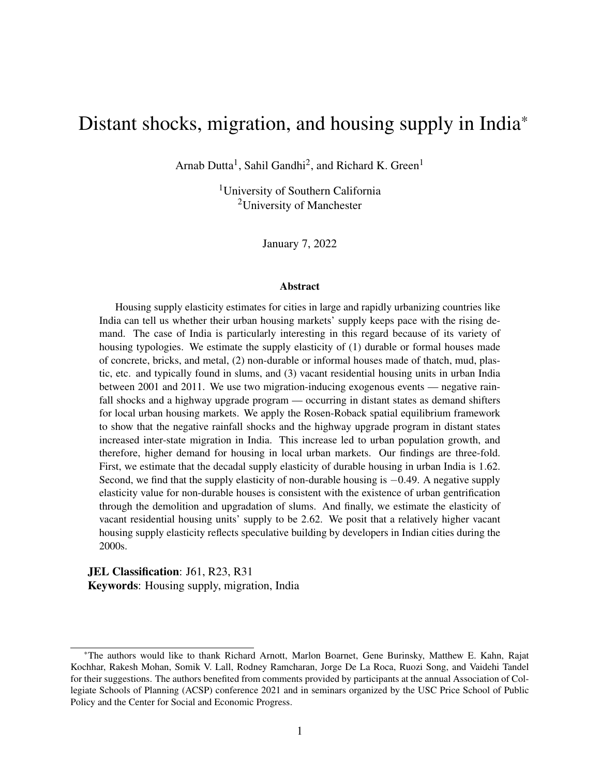|                                   |                                | 2SLS                          |                               |                        |  |
|-----------------------------------|--------------------------------|-------------------------------|-------------------------------|------------------------|--|
|                                   | First-stage                    |                               |                               | Second-stage           |  |
| $D = 2011 - 2001$                 |                                |                               | Dependent variable            |                        |  |
|                                   | Dlog durable units at <i>i</i> | Dlog vacant units at <i>i</i> | Dlog durable rent at <i>i</i> | Dlog overall rent at i |  |
|                                   | (1)                            | (2)                           | (3)                           | (4)                    |  |
| Dlog durable units at <i>i</i>    |                                |                               | $0.738***$                    |                        |  |
|                                   |                                |                               | (0.029)                       |                        |  |
| Dlog vacant units at <i>i</i>     |                                |                               |                               | $0.561***$             |  |
|                                   |                                |                               |                               | (0.022)                |  |
| D#months rainfall $< 80\%$ at j   | $0.020***$                     | $0.025***$                    |                               |                        |  |
|                                   | (0.000)                        | (0.001)                       |                               |                        |  |
| GQ highway dummy at /             | $0.214***$                     | $0.284***$                    |                               |                        |  |
|                                   | (0.004)                        | (0.006)                       |                               |                        |  |
| Dlog consumption at <i>i</i>      | $0.044***$                     | 0.006                         | $0.175***$                    | $0.128***$             |  |
|                                   | (0.010)                        | (0.013)                       | (0.024)                       | (0.023)                |  |
| D urban surface area at /         | $9.42***$                      | $11.4***$                     | $-6.88***$                    | $-5.65***$             |  |
|                                   | (0.217)                        | (0.277)                       | (0.485)                       | (0.443)                |  |
| D urban surface area squared at i | $-10.9***$                     | $-15.0***$                    | $8.02***$                     | 7.95***                |  |
|                                   | (0.500)                        | (0.622)                       | (0.767)                       | (0.736)                |  |
| F-stat on excluded instruments    | 3696***                        | 3271***                       |                               |                        |  |
| Anderson-Rubin Wald $c^2(2)$      |                                |                               | $677***$                      | $712***$               |  |
| Sargan-Hansen J-stat p-value      |                                |                               | 0.799                         | 0.657                  |  |
| N                                 | 11,526                         | 11,526                        | 11,526                        | 11,526                 |  |
| Adj. R-sq                         | 0.673                          | 0.611                         |                               |                        |  |

## <span id="page-52-0"></span>Table A.3: Housing supply elasticity estimation with full sample data on durable rents

*Source*: Authors' calculations.

Note: Table presents results from two-stage least squares regressions of the log differences of average housing rents paid on the endogenous variables – log differences of the market clearing quantities of housing units in district *i*. Regressions are run for two types of residential housing – durable and vacant. The log differences are calculated as first differences of log values between the years <sup>2001</sup>and 2011. District *i* is the local region and is paired with distant states indexed *j*. There are 11,526 *i* – *j* district-state pairs consisting of 339 districts and 35 states and union territories in India. The log differences of housing units in district *i* are instrumented by the decadal change in the number of months when rainfall was less than 80% of the long-term normal in <sup>a</sup> distant state *j*, and <sup>a</sup> dummy variable equal to one if state *j* was recipient of the Golden Quadrilateral highway upgrade program. The first-stage regression coefficients are given in columns (1)-(3) and the second-stage results are given in columns (4)-(6). Other variables in the regressions include log difference in district-level mean per capita consumption at *i*, and changes in the urban surface area and the urban surface area square<sup>d</sup> at *i*. Diagnostics reported are the F-test of excluded instruments' joint significance, the Anderson-Rubin Wald chi-square test of significance of endogenous regressors, and the Sargan-Hansen J-statistic foroveridentification tests. Urban surface area unit is in 1000 sq. miles. Robust standard errors in parentheses.  $*$  p  $<$  0.10,  $**$  p  $<$  0.05,  $***$  p  $<$  0.01.